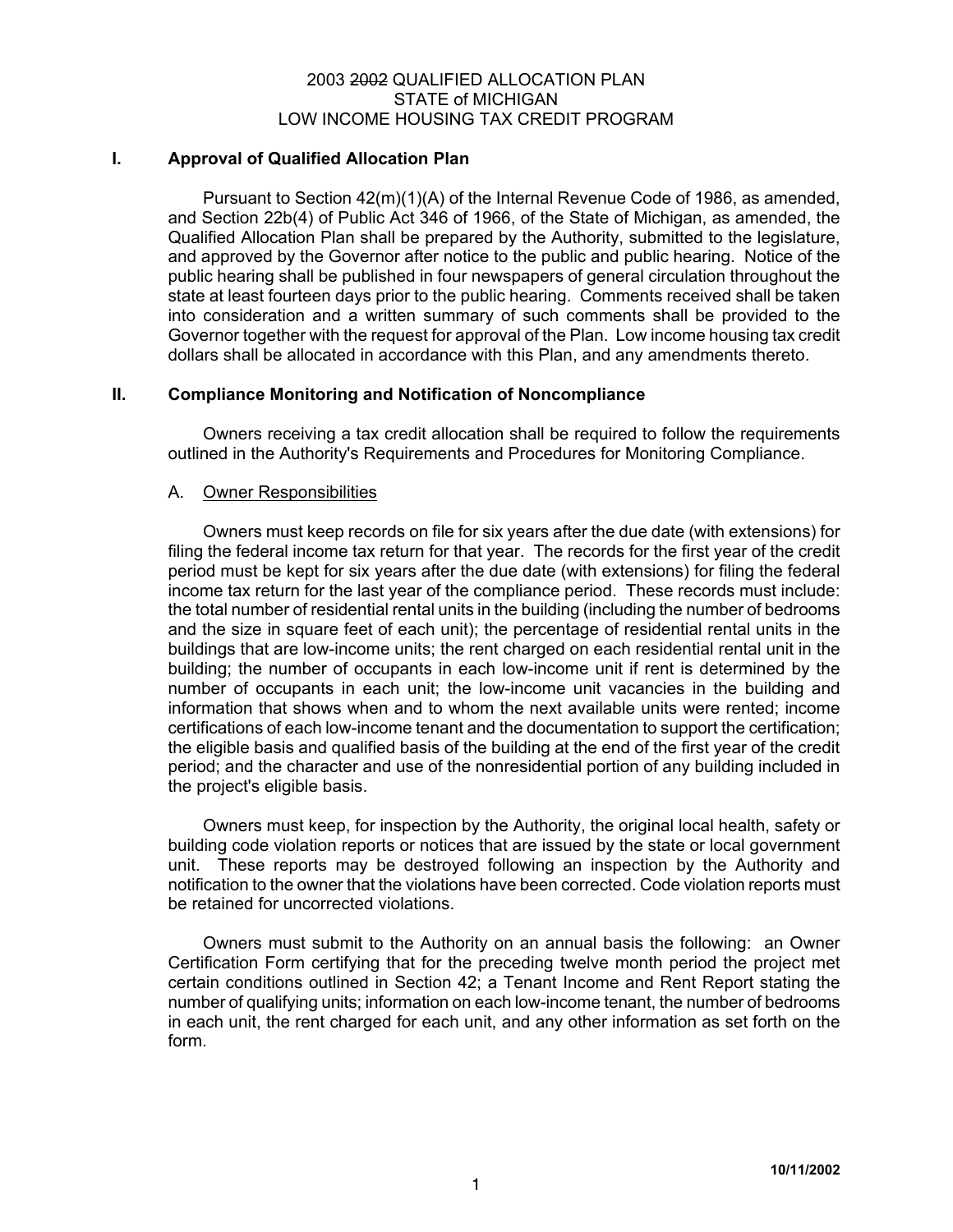# 2003 2002 QUALIFIED ALLOCATION PLAN STATE of MICHIGAN LOW INCOME HOUSING TAX CREDIT PROGRAM

## **I. Approval of Qualified Allocation Plan**

Pursuant to Section 42(m)(1)(A) of the Internal Revenue Code of 1986, as amended, and Section 22b(4) of Public Act 346 of 1966, of the State of Michigan, as amended, the Qualified Allocation Plan shall be prepared by the Authority, submitted to the legislature, and approved by the Governor after notice to the public and public hearing. Notice of the public hearing shall be published in four newspapers of general circulation throughout the state at least fourteen days prior to the public hearing. Comments received shall be taken into consideration and a written summary of such comments shall be provided to the Governor together with the request for approval of the Plan. Low income housing tax credit dollars shall be allocated in accordance with this Plan, and any amendments thereto.

# **II. Compliance Monitoring and Notification of Noncompliance**

Owners receiving a tax credit allocation shall be required to follow the requirements outlined in the Authority's Requirements and Procedures for Monitoring Compliance.

# A. Owner Responsibilities

Owners must keep records on file for six years after the due date (with extensions) for filing the federal income tax return for that year. The records for the first year of the credit period must be kept for six years after the due date (with extensions) for filing the federal income tax return for the last year of the compliance period. These records must include: the total number of residential rental units in the building (including the number of bedrooms and the size in square feet of each unit); the percentage of residential rental units in the buildings that are low-income units; the rent charged on each residential rental unit in the building; the number of occupants in each low-income unit if rent is determined by the number of occupants in each unit; the low-income unit vacancies in the building and information that shows when and to whom the next available units were rented; income certifications of each low-income tenant and the documentation to support the certification; the eligible basis and qualified basis of the building at the end of the first year of the credit period; and the character and use of the nonresidential portion of any building included in the project's eligible basis.

Owners must keep, for inspection by the Authority, the original local health, safety or building code violation reports or notices that are issued by the state or local government unit. These reports may be destroyed following an inspection by the Authority and notification to the owner that the violations have been corrected. Code violation reports must be retained for uncorrected violations.

Owners must submit to the Authority on an annual basis the following: an Owner Certification Form certifying that for the preceding twelve month period the project met certain conditions outlined in Section 42; a Tenant Income and Rent Report stating the number of qualifying units; information on each low-income tenant, the number of bedrooms in each unit, the rent charged for each unit, and any other information as set forth on the form.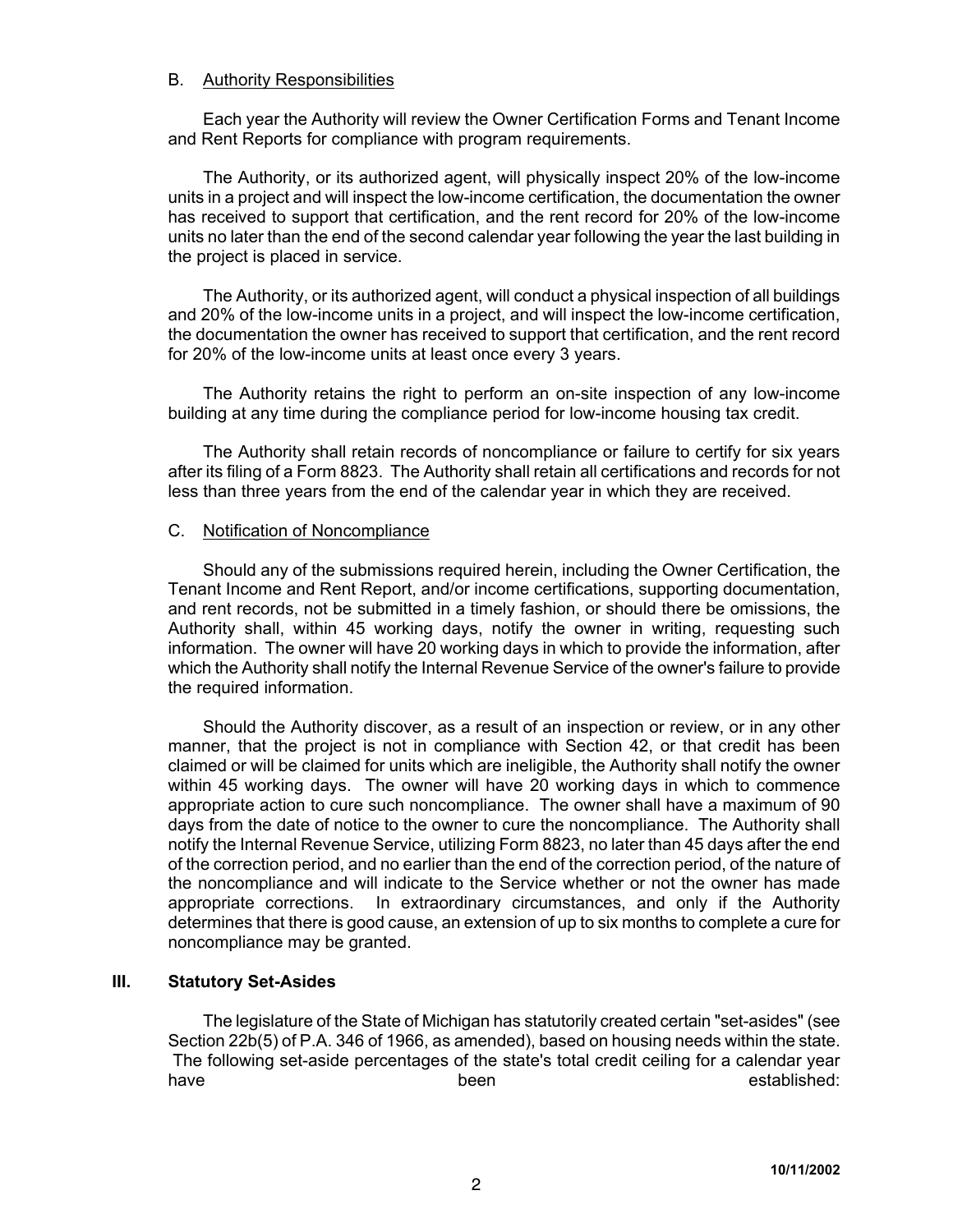#### B. Authority Responsibilities

Each year the Authority will review the Owner Certification Forms and Tenant Income and Rent Reports for compliance with program requirements.

The Authority, or its authorized agent, will physically inspect 20% of the low-income units in a project and will inspect the low-income certification, the documentation the owner has received to support that certification, and the rent record for 20% of the low-income units no later than the end of the second calendar year following the year the last building in the project is placed in service.

The Authority, or its authorized agent, will conduct a physical inspection of all buildings and 20% of the low-income units in a project, and will inspect the low-income certification, the documentation the owner has received to support that certification, and the rent record for 20% of the low-income units at least once every 3 years.

The Authority retains the right to perform an on-site inspection of any low-income building at any time during the compliance period for low-income housing tax credit.

The Authority shall retain records of noncompliance or failure to certify for six years after its filing of a Form 8823. The Authority shall retain all certifications and records for not less than three years from the end of the calendar year in which they are received.

### C. Notification of Noncompliance

Should any of the submissions required herein, including the Owner Certification, the Tenant Income and Rent Report, and/or income certifications, supporting documentation, and rent records, not be submitted in a timely fashion, or should there be omissions, the Authority shall, within 45 working days, notify the owner in writing, requesting such information. The owner will have 20 working days in which to provide the information, after which the Authority shall notify the Internal Revenue Service of the owner's failure to provide the required information.

Should the Authority discover, as a result of an inspection or review, or in any other manner, that the project is not in compliance with Section 42, or that credit has been claimed or will be claimed for units which are ineligible, the Authority shall notify the owner within 45 working days. The owner will have 20 working days in which to commence appropriate action to cure such noncompliance. The owner shall have a maximum of 90 days from the date of notice to the owner to cure the noncompliance. The Authority shall notify the Internal Revenue Service, utilizing Form 8823, no later than 45 days after the end of the correction period, and no earlier than the end of the correction period, of the nature of the noncompliance and will indicate to the Service whether or not the owner has made appropriate corrections. In extraordinary circumstances, and only if the Authority determines that there is good cause, an extension of up to six months to complete a cure for noncompliance may be granted.

### **III. Statutory Set-Asides**

The legislature of the State of Michigan has statutorily created certain "set-asides" (see Section 22b(5) of P.A. 346 of 1966, as amended), based on housing needs within the state. The following set-aside percentages of the state's total credit ceiling for a calendar year have been been been been been betallighed: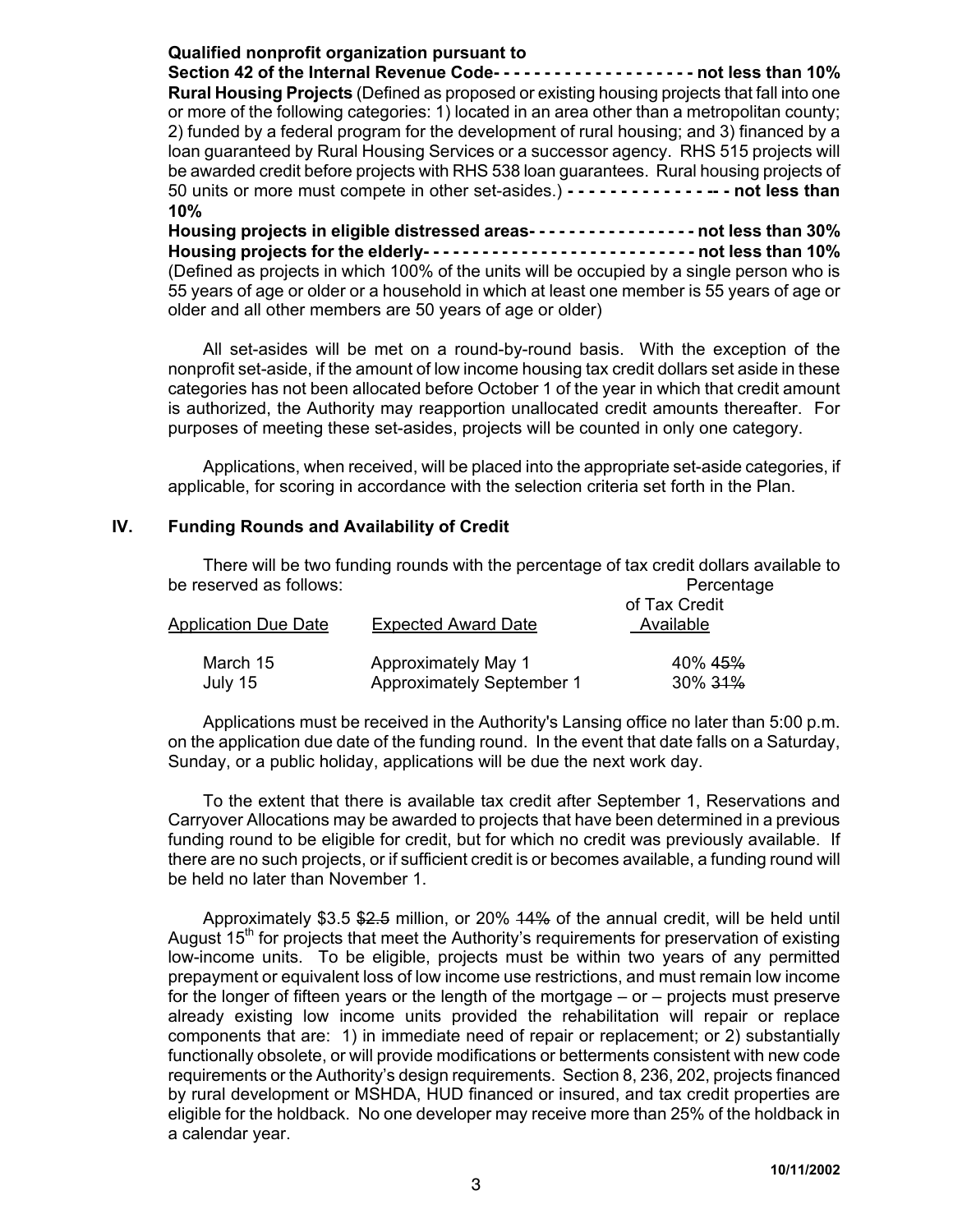# **Qualified nonprofit organization pursuant to**

**Section 42 of the Internal Revenue Code- - - - - - - - - - - - - - - - - - - - not less than 10% Rural Housing Projects** (Defined as proposed or existing housing projects that fall into one or more of the following categories: 1) located in an area other than a metropolitan county; 2) funded by a federal program for the development of rural housing; and 3) financed by a loan guaranteed by Rural Housing Services or a successor agency. RHS 515 projects will be awarded credit before projects with RHS 538 loan guarantees. Rural housing projects of 50 units or more must compete in other set-asides.) **- - - - - - - - - - - - - -- - not less than 10%**

**Housing projects in eligible distressed areas- - - - - - - - - - - - - - - - - not less than 30% Housing projects for the elderly- - - - - - - - - - - - - - - - - - - - - - - - - - - - not less than 10%** (Defined as projects in which 100% of the units will be occupied by a single person who is 55 years of age or older or a household in which at least one member is 55 years of age or older and all other members are 50 years of age or older)

All set-asides will be met on a round-by-round basis. With the exception of the nonprofit set-aside, if the amount of low income housing tax credit dollars set aside in these categories has not been allocated before October 1 of the year in which that credit amount is authorized, the Authority may reapportion unallocated credit amounts thereafter. For purposes of meeting these set-asides, projects will be counted in only one category.

Applications, when received, will be placed into the appropriate set-aside categories, if applicable, for scoring in accordance with the selection criteria set forth in the Plan.

# **IV. Funding Rounds and Availability of Credit**

There will be two funding rounds with the percentage of tax credit dollars available to be reserved as follows:  $\qquad \qquad$  Percentage

| Application Due Date | <b>Expected Award Date</b>       | of Tax Credit<br>Available |  |  |
|----------------------|----------------------------------|----------------------------|--|--|
| March 15             | Approximately May 1              | 40% 4 <del>5%</del>        |  |  |
| July 15              | <b>Approximately September 1</b> | 30% <del>31%</del>         |  |  |

Applications must be received in the Authority's Lansing office no later than 5:00 p.m. on the application due date of the funding round. In the event that date falls on a Saturday, Sunday, or a public holiday, applications will be due the next work day.

To the extent that there is available tax credit after September 1, Reservations and Carryover Allocations may be awarded to projects that have been determined in a previous funding round to be eligible for credit, but for which no credit was previously available. If there are no such projects, or if sufficient credit is or becomes available, a funding round will be held no later than November 1.

Approximately \$3.5 \$2.5 million, or 20% 14% of the annual credit, will be held until August 15<sup>th</sup> for projects that meet the Authority's requirements for preservation of existing low-income units. To be eligible, projects must be within two years of any permitted prepayment or equivalent loss of low income use restrictions, and must remain low income for the longer of fifteen years or the length of the mortgage – or – projects must preserve already existing low income units provided the rehabilitation will repair or replace components that are: 1) in immediate need of repair or replacement; or 2) substantially functionally obsolete, or will provide modifications or betterments consistent with new code requirements or the Authority's design requirements. Section 8, 236, 202, projects financed by rural development or MSHDA, HUD financed or insured, and tax credit properties are eligible for the holdback. No one developer may receive more than 25% of the holdback in a calendar year.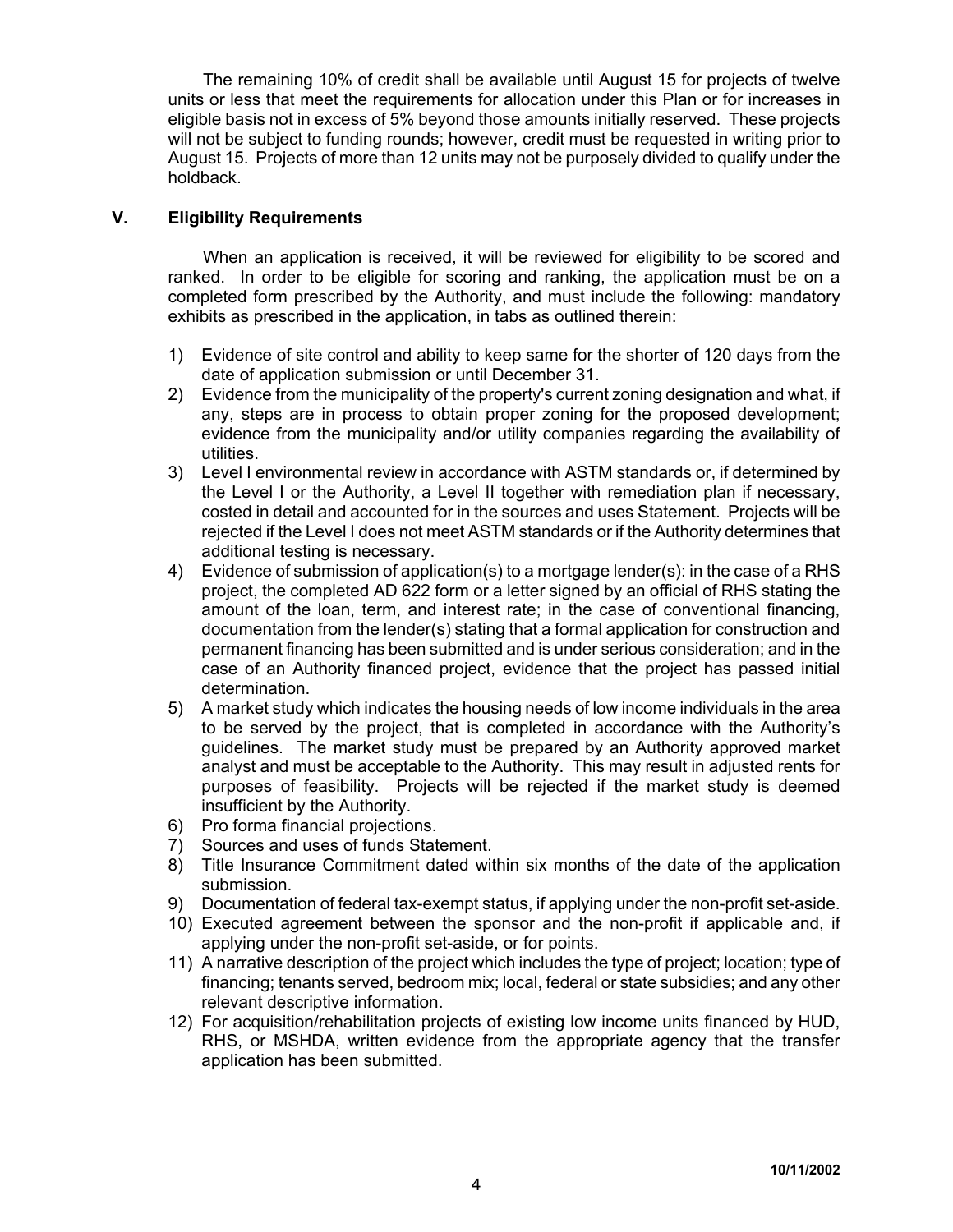The remaining 10% of credit shall be available until August 15 for projects of twelve units or less that meet the requirements for allocation under this Plan or for increases in eligible basis not in excess of 5% beyond those amounts initially reserved. These projects will not be subject to funding rounds; however, credit must be requested in writing prior to August 15. Projects of more than 12 units may not be purposely divided to qualify under the holdback.

# **V. Eligibility Requirements**

When an application is received, it will be reviewed for eligibility to be scored and ranked. In order to be eligible for scoring and ranking, the application must be on a completed form prescribed by the Authority, and must include the following: mandatory exhibits as prescribed in the application, in tabs as outlined therein:

- 1) Evidence of site control and ability to keep same for the shorter of 120 days from the date of application submission or until December 31.
- 2) Evidence from the municipality of the property's current zoning designation and what, if any, steps are in process to obtain proper zoning for the proposed development; evidence from the municipality and/or utility companies regarding the availability of utilities.
- 3) Level I environmental review in accordance with ASTM standards or, if determined by the Level I or the Authority, a Level II together with remediation plan if necessary, costed in detail and accounted for in the sources and uses Statement. Projects will be rejected if the Level I does not meet ASTM standards or if the Authority determines that additional testing is necessary.
- 4) Evidence of submission of application(s) to a mortgage lender(s): in the case of a RHS project, the completed AD 622 form or a letter signed by an official of RHS stating the amount of the loan, term, and interest rate; in the case of conventional financing, documentation from the lender(s) stating that a formal application for construction and permanent financing has been submitted and is under serious consideration; and in the case of an Authority financed project, evidence that the project has passed initial determination.
- 5) A market study which indicates the housing needs of low income individuals in the area to be served by the project, that is completed in accordance with the Authority's guidelines. The market study must be prepared by an Authority approved market analyst and must be acceptable to the Authority. This may result in adjusted rents for purposes of feasibility. Projects will be rejected if the market study is deemed insufficient by the Authority.
- 6) Pro forma financial projections.
- 7) Sources and uses of funds Statement.
- 8) Title Insurance Commitment dated within six months of the date of the application submission.
- 9) Documentation of federal tax-exempt status, if applying under the non-profit set-aside.
- 10) Executed agreement between the sponsor and the non-profit if applicable and, if applying under the non-profit set-aside, or for points.
- 11) A narrative description of the project which includes the type of project; location; type of financing; tenants served, bedroom mix; local, federal or state subsidies; and any other relevant descriptive information.
- 12) For acquisition/rehabilitation projects of existing low income units financed by HUD, RHS, or MSHDA, written evidence from the appropriate agency that the transfer application has been submitted.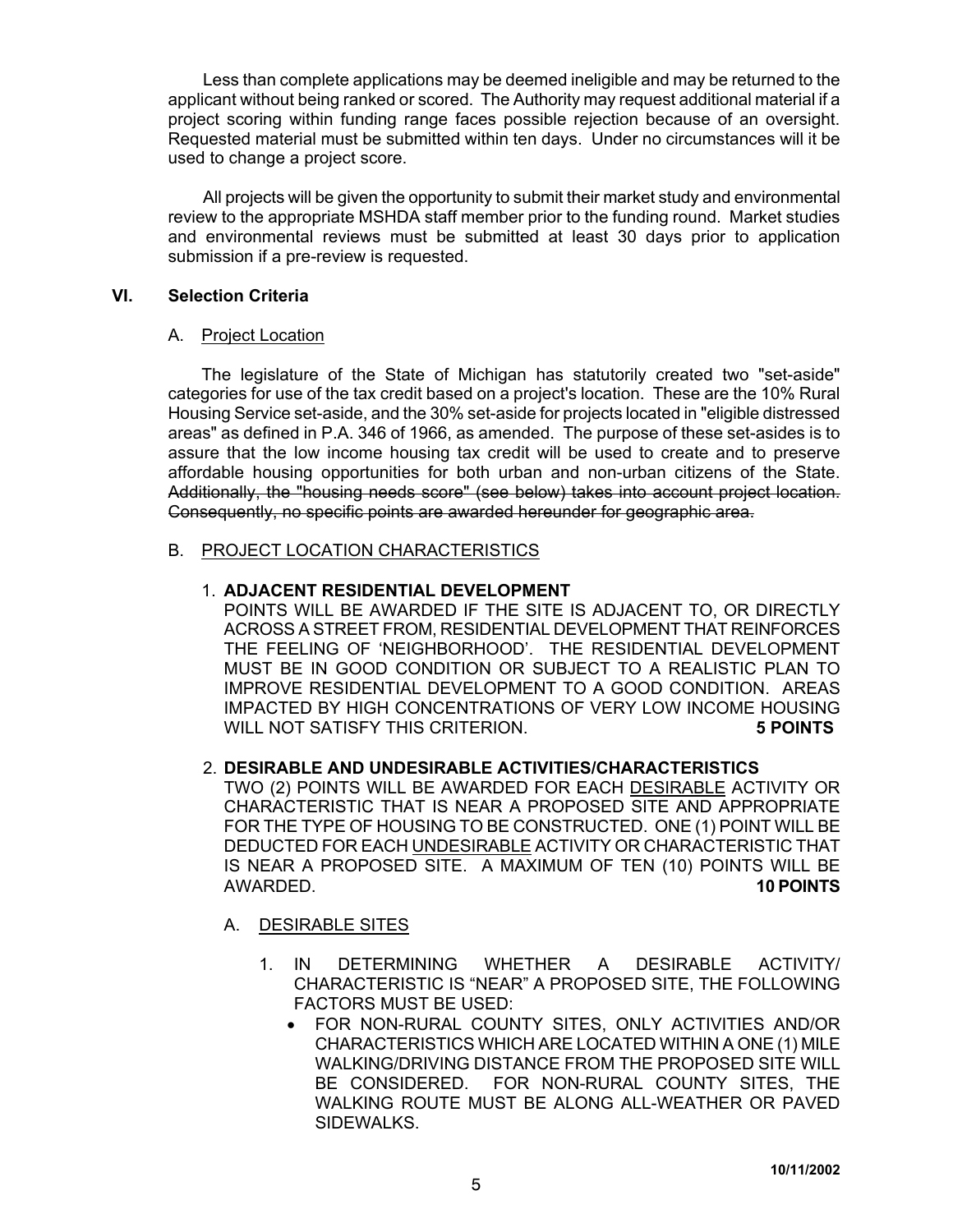Less than complete applications may be deemed ineligible and may be returned to the applicant without being ranked or scored. The Authority may request additional material if a project scoring within funding range faces possible rejection because of an oversight. Requested material must be submitted within ten days. Under no circumstances will it be used to change a project score.

All projects will be given the opportunity to submit their market study and environmental review to the appropriate MSHDA staff member prior to the funding round. Market studies and environmental reviews must be submitted at least 30 days prior to application submission if a pre-review is requested.

# **VI. Selection Criteria**

### A. Project Location

The legislature of the State of Michigan has statutorily created two "set-aside" categories for use of the tax credit based on a project's location. These are the 10% Rural Housing Service set-aside, and the 30% set-aside for projects located in "eligible distressed areas" as defined in P.A. 346 of 1966, as amended. The purpose of these set-asides is to assure that the low income housing tax credit will be used to create and to preserve affordable housing opportunities for both urban and non-urban citizens of the State. Additionally, the "housing needs score" (see below) takes into account project location. Consequently, no specific points are awarded hereunder for geographic area.

# B. PROJECT LOCATION CHARACTERISTICS

# 1. **ADJACENT RESIDENTIAL DEVELOPMENT**

POINTS WILL BE AWARDED IF THE SITE IS ADJACENT TO, OR DIRECTLY ACROSS A STREET FROM, RESIDENTIAL DEVELOPMENT THAT REINFORCES THE FEELING OF 'NEIGHBORHOOD'. THE RESIDENTIAL DEVELOPMENT MUST BE IN GOOD CONDITION OR SUBJECT TO A REALISTIC PLAN TO IMPROVE RESIDENTIAL DEVELOPMENT TO A GOOD CONDITION. AREAS IMPACTED BY HIGH CONCENTRATIONS OF VERY LOW INCOME HOUSING WILL NOT SATISFY THIS CRITERION. **5 POINTS** 

# 2. **DESIRABLE AND UNDESIRABLE ACTIVITIES/CHARACTERISTICS**

TWO (2) POINTS WILL BE AWARDED FOR EACH DESIRABLE ACTIVITY OR CHARACTERISTIC THAT IS NEAR A PROPOSED SITE AND APPROPRIATE FOR THE TYPE OF HOUSING TO BE CONSTRUCTED. ONE (1) POINT WILL BE DEDUCTED FOR EACH UNDESIRABLE ACTIVITY OR CHARACTERISTIC THAT IS NEAR A PROPOSED SITE. A MAXIMUM OF TEN (10) POINTS WILL BE AWARDED. **10 POINTS**

### A. DESIRABLE SITES

- 1. IN DETERMINING WHETHER A DESIRABLE ACTIVITY/ CHARACTERISTIC IS "NEAR" A PROPOSED SITE, THE FOLLOWING FACTORS MUST BE USED:
	- FOR NON-RURAL COUNTY SITES, ONLY ACTIVITIES AND/OR CHARACTERISTICS WHICH ARE LOCATED WITHIN A ONE (1) MILE WALKING/DRIVING DISTANCE FROM THE PROPOSED SITE WILL BE CONSIDERED. FOR NON-RURAL COUNTY SITES, THE WALKING ROUTE MUST BE ALONG ALL-WEATHER OR PAVED SIDEWALKS.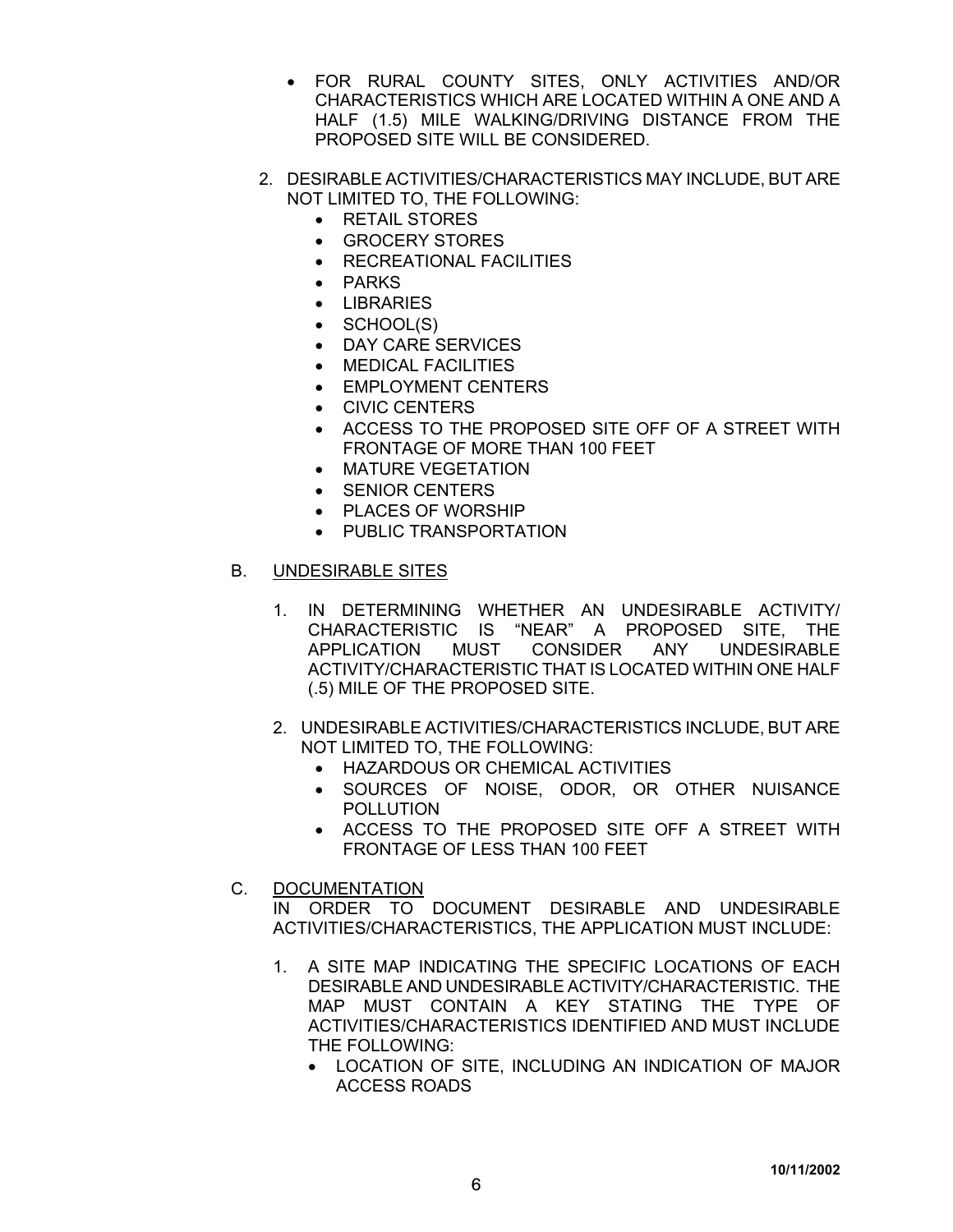- FOR RURAL COUNTY SITES, ONLY ACTIVITIES AND/OR CHARACTERISTICS WHICH ARE LOCATED WITHIN A ONE AND A HALF (1.5) MILE WALKING/DRIVING DISTANCE FROM THE PROPOSED SITE WILL BE CONSIDERED.
- 2. DESIRABLE ACTIVITIES/CHARACTERISTICS MAY INCLUDE, BUT ARE NOT LIMITED TO, THE FOLLOWING:
	- RETAIL STORES
	- GROCERY STORES
	- RECREATIONAL FACILITIES
	- PARKS
	- LIBRARIES
	- SCHOOL(S)
	- DAY CARE SERVICES
	- MEDICAL FACILITIES
	- EMPLOYMENT CENTERS
	- CIVIC CENTERS
	- ACCESS TO THE PROPOSED SITE OFF OF A STREET WITH FRONTAGE OF MORE THAN 100 FEET
	- MATURE VEGETATION
	- SENIOR CENTERS
	- PLACES OF WORSHIP
	- PUBLIC TRANSPORTATION

# B. UNDESIRABLE SITES

- 1. IN DETERMINING WHETHER AN UNDESIRABLE ACTIVITY/ CHARACTERISTIC IS "NEAR" A PROPOSED SITE, THE APPLICATION MUST CONSIDER ANY UNDESIRABLE ACTIVITY/CHARACTERISTIC THAT IS LOCATED WITHIN ONE HALF (.5) MILE OF THE PROPOSED SITE.
- 2. UNDESIRABLE ACTIVITIES/CHARACTERISTICS INCLUDE, BUT ARE NOT LIMITED TO, THE FOLLOWING:
	- HAZARDOUS OR CHEMICAL ACTIVITIES
	- SOURCES OF NOISE, ODOR, OR OTHER NUISANCE POLLUTION
	- ACCESS TO THE PROPOSED SITE OFF A STREET WITH FRONTAGE OF LESS THAN 100 FEET
- C. DOCUMENTATION

IN ORDER TO DOCUMENT DESIRABLE AND UNDESIRABLE ACTIVITIES/CHARACTERISTICS, THE APPLICATION MUST INCLUDE:

- 1. A SITE MAP INDICATING THE SPECIFIC LOCATIONS OF EACH DESIRABLE AND UNDESIRABLE ACTIVITY/CHARACTERISTIC. THE MAP MUST CONTAIN A KEY STATING THE TYPE OF ACTIVITIES/CHARACTERISTICS IDENTIFIED AND MUST INCLUDE THE FOLLOWING:
	- LOCATION OF SITE, INCLUDING AN INDICATION OF MAJOR ACCESS ROADS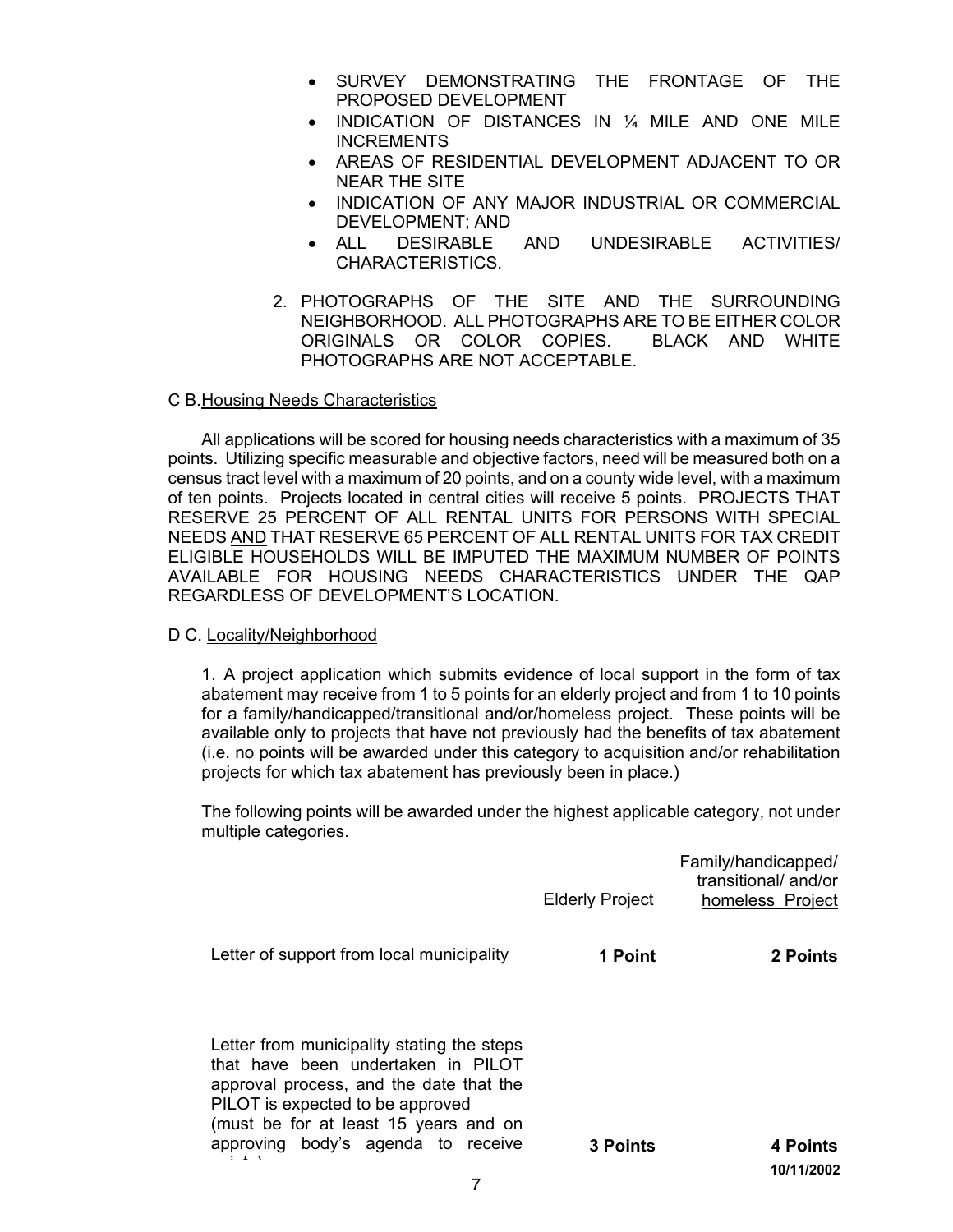- SURVEY DEMONSTRATING THE FRONTAGE OF THE PROPOSED DEVELOPMENT
- INDICATION OF DISTANCES IN 1/4 MILE AND ONE MILE INCREMENTS
- AREAS OF RESIDENTIAL DEVELOPMENT ADJACENT TO OR NEAR THE SITE
- INDICATION OF ANY MAJOR INDUSTRIAL OR COMMERCIAL DEVELOPMENT; AND
- ALL DESIRABLE AND UNDESIRABLE ACTIVITIES/ CHARACTERISTICS.
- 2. PHOTOGRAPHS OF THE SITE AND THE SURROUNDING NEIGHBORHOOD. ALL PHOTOGRAPHS ARE TO BE EITHER COLOR ORIGINALS OR COLOR COPIES. BLACK AND WHITE PHOTOGRAPHS ARE NOT ACCEPTABLE.

#### C B.Housing Needs Characteristics

All applications will be scored for housing needs characteristics with a maximum of 35 points. Utilizing specific measurable and objective factors, need will be measured both on a census tract level with a maximum of 20 points, and on a county wide level, with a maximum of ten points. Projects located in central cities will receive 5 points. PROJECTS THAT RESERVE 25 PERCENT OF ALL RENTAL UNITS FOR PERSONS WITH SPECIAL NEEDS AND THAT RESERVE 65 PERCENT OF ALL RENTAL UNITS FOR TAX CREDIT ELIGIBLE HOUSEHOLDS WILL BE IMPUTED THE MAXIMUM NUMBER OF POINTS AVAILABLE FOR HOUSING NEEDS CHARACTERISTICS UNDER THE QAP REGARDLESS OF DEVELOPMENT'S LOCATION.

#### D G. Locality/Neighborhood

1. A project application which submits evidence of local support in the form of tax abatement may receive from 1 to 5 points for an elderly project and from 1 to 10 points for a family/handicapped/transitional and/or/homeless project. These points will be available only to projects that have not previously had the benefits of tax abatement (i.e. no points will be awarded under this category to acquisition and/or rehabilitation projects for which tax abatement has previously been in place.)

The following points will be awarded under the highest applicable category, not under multiple categories.

|                                                                                                                                                                                                                                                | Elderly Project | Family/handicapped/<br>transitional/and/or<br>homeless Project |
|------------------------------------------------------------------------------------------------------------------------------------------------------------------------------------------------------------------------------------------------|-----------------|----------------------------------------------------------------|
| Letter of support from local municipality                                                                                                                                                                                                      | 1 Point         | 2 Points                                                       |
| Letter from municipality stating the steps<br>that have been undertaken in PILOT<br>approval process, and the date that the<br>PILOT is expected to be approved<br>(must be for at least 15 years and on<br>approving body's agenda to receive | <b>3 Points</b> | 4 Points                                                       |
|                                                                                                                                                                                                                                                |                 | 10/11/2002                                                     |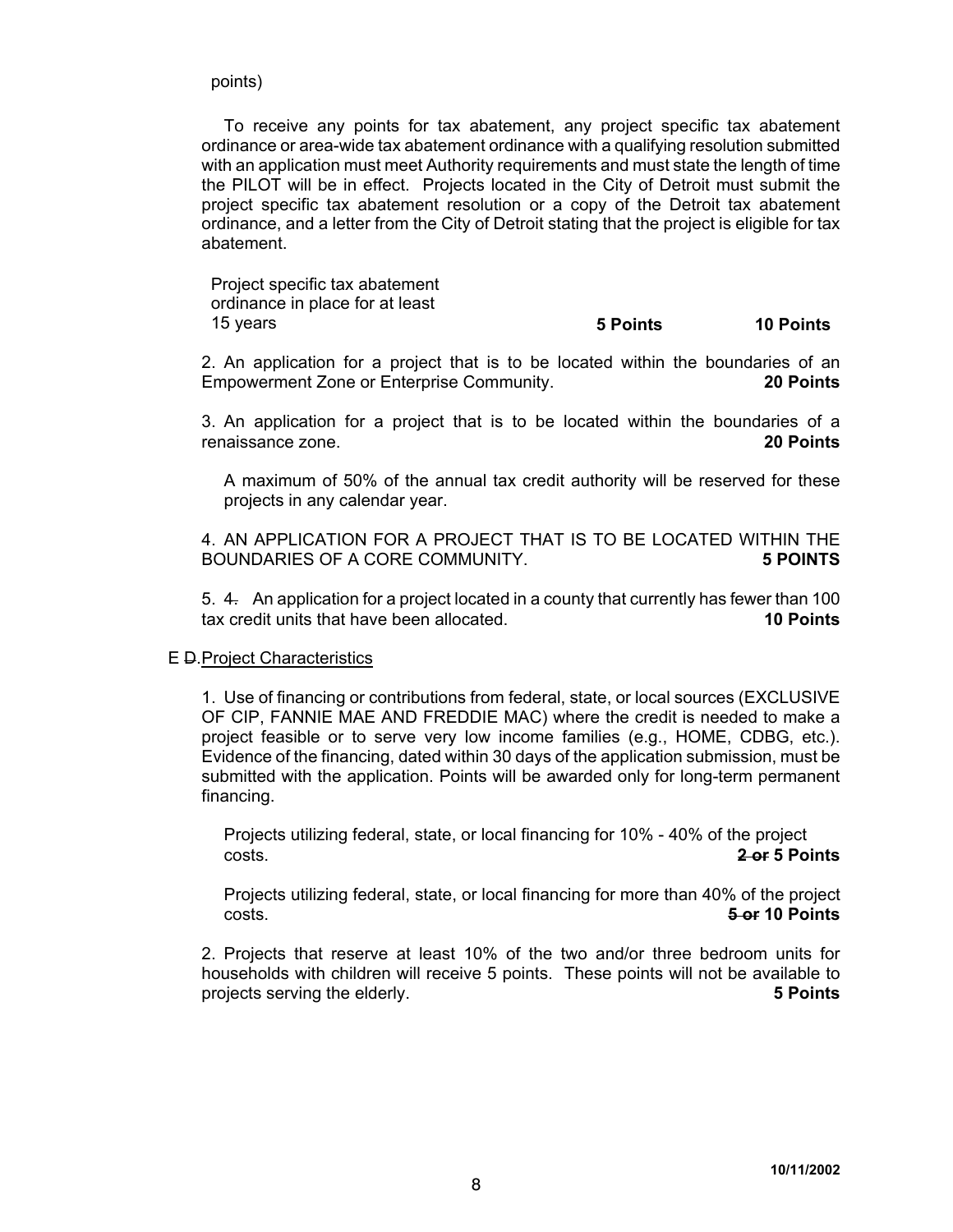points)

To receive any points for tax abatement, any project specific tax abatement ordinance or area-wide tax abatement ordinance with a qualifying resolution submitted with an application must meet Authority requirements and must state the length of time the PILOT will be in effect. Projects located in the City of Detroit must submit the project specific tax abatement resolution or a copy of the Detroit tax abatement ordinance, and a letter from the City of Detroit stating that the project is eligible for tax abatement.

Project specific tax abatement ordinance in place for at least

## 15 years **5 Points 10 Points**

2. An application for a project that is to be located within the boundaries of an Empowerment Zone or Enterprise Community. **20 Points**

3. An application for a project that is to be located within the boundaries of a renaissance zone. **20 Points**

A maximum of 50% of the annual tax credit authority will be reserved for these projects in any calendar year.

4. AN APPLICATION FOR A PROJECT THAT IS TO BE LOCATED WITHIN THE BOUNDARIES OF A CORE COMMUNITY. **5 POINTS** 

5. 4. An application for a project located in a county that currently has fewer than 100 tax credit units that have been allocated. **10 Points**

#### E D.Project Characteristics

1. Use of financing or contributions from federal, state, or local sources (EXCLUSIVE OF CIP, FANNIE MAE AND FREDDIE MAC) where the credit is needed to make a project feasible or to serve very low income families (e.g., HOME, CDBG, etc.). Evidence of the financing, dated within 30 days of the application submission, must be submitted with the application. Points will be awarded only for long-term permanent financing.

Projects utilizing federal, state, or local financing for 10% - 40% of the project costs. **2 or 5 Points**

Projects utilizing federal, state, or local financing for more than 40% of the project costs. **5 or 10 Points**

2. Projects that reserve at least 10% of the two and/or three bedroom units for households with children will receive 5 points. These points will not be available to projects serving the elderly. **5 Points**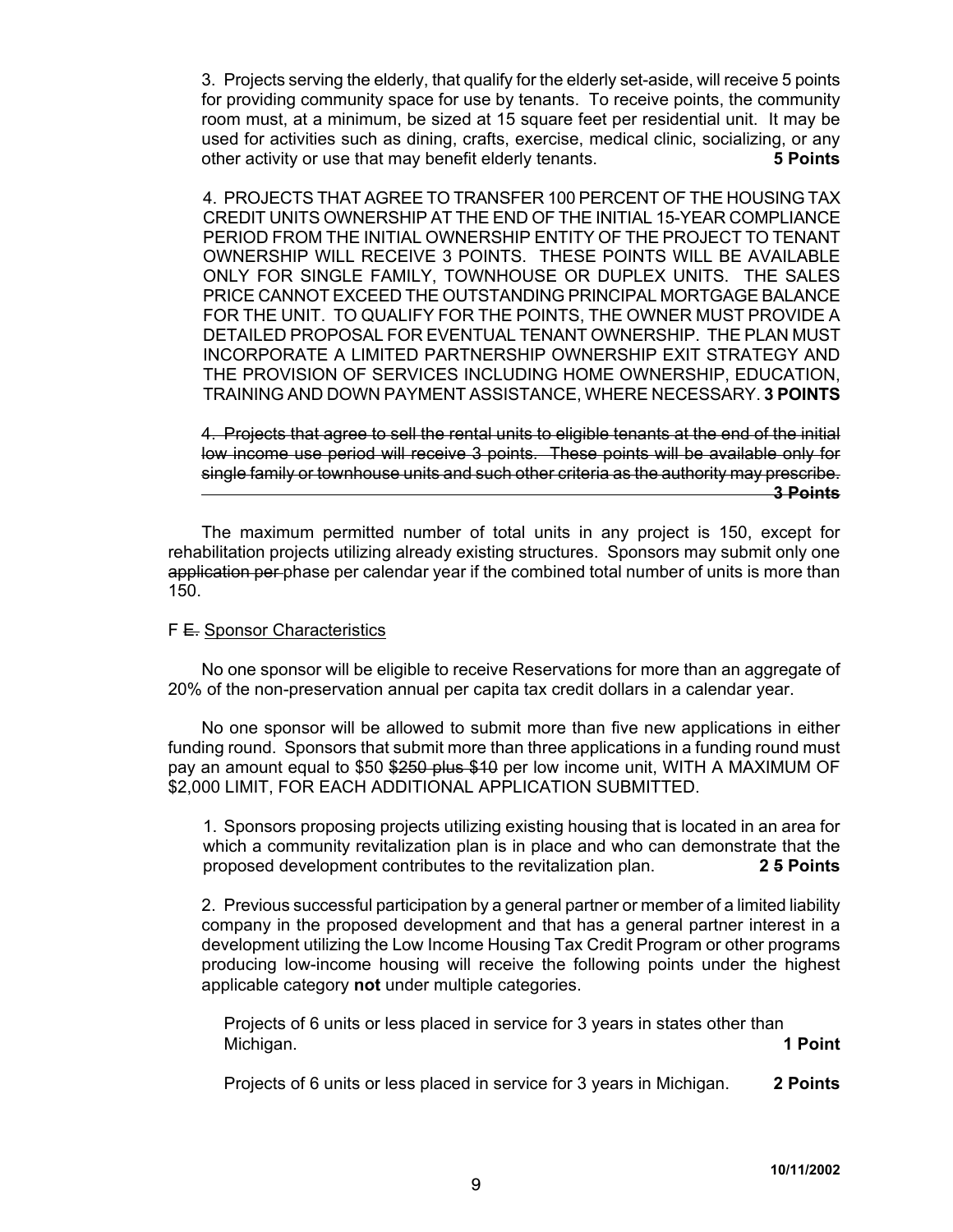3. Projects serving the elderly, that qualify for the elderly set-aside, will receive 5 points for providing community space for use by tenants. To receive points, the community room must, at a minimum, be sized at 15 square feet per residential unit. It may be used for activities such as dining, crafts, exercise, medical clinic, socializing, or any other activity or use that may benefit elderly tenants. **5 Points**

4. PROJECTS THAT AGREE TO TRANSFER 100 PERCENT OF THE HOUSING TAX CREDIT UNITS OWNERSHIP AT THE END OF THE INITIAL 15-YEAR COMPLIANCE PERIOD FROM THE INITIAL OWNERSHIP ENTITY OF THE PROJECT TO TENANT OWNERSHIP WILL RECEIVE 3 POINTS. THESE POINTS WILL BE AVAILABLE ONLY FOR SINGLE FAMILY, TOWNHOUSE OR DUPLEX UNITS. THE SALES PRICE CANNOT EXCEED THE OUTSTANDING PRINCIPAL MORTGAGE BALANCE FOR THE UNIT. TO QUALIFY FOR THE POINTS, THE OWNER MUST PROVIDE A DETAILED PROPOSAL FOR EVENTUAL TENANT OWNERSHIP. THE PLAN MUST INCORPORATE A LIMITED PARTNERSHIP OWNERSHIP EXIT STRATEGY AND THE PROVISION OF SERVICES INCLUDING HOME OWNERSHIP, EDUCATION, TRAINING AND DOWN PAYMENT ASSISTANCE, WHERE NECESSARY. **3 POINTS**

4. Projects that agree to sell the rental units to eligible tenants at the end of the initial low income use period will receive 3 points. These points will be available only for single family or townhouse units and such other criteria as the authority may prescribe. **3 Points**

The maximum permitted number of total units in any project is 150, except for rehabilitation projects utilizing already existing structures. Sponsors may submit only one application per phase per calendar year if the combined total number of units is more than 150.

#### F E. Sponsor Characteristics

No one sponsor will be eligible to receive Reservations for more than an aggregate of 20% of the non-preservation annual per capita tax credit dollars in a calendar year.

No one sponsor will be allowed to submit more than five new applications in either funding round. Sponsors that submit more than three applications in a funding round must pay an amount equal to \$50 \$250 plus \$10 per low income unit, WITH A MAXIMUM OF \$2,000 LIMIT, FOR EACH ADDITIONAL APPLICATION SUBMITTED.

1. Sponsors proposing projects utilizing existing housing that is located in an area for which a community revitalization plan is in place and who can demonstrate that the proposed development contributes to the revitalization plan. **2 5 Points** 

2. Previous successful participation by a general partner or member of a limited liability company in the proposed development and that has a general partner interest in a development utilizing the Low Income Housing Tax Credit Program or other programs producing low-income housing will receive the following points under the highest applicable category **not** under multiple categories.

Projects of 6 units or less placed in service for 3 years in states other than Michigan. **1 Point** 

Projects of 6 units or less placed in service for 3 years in Michigan. **2 Points**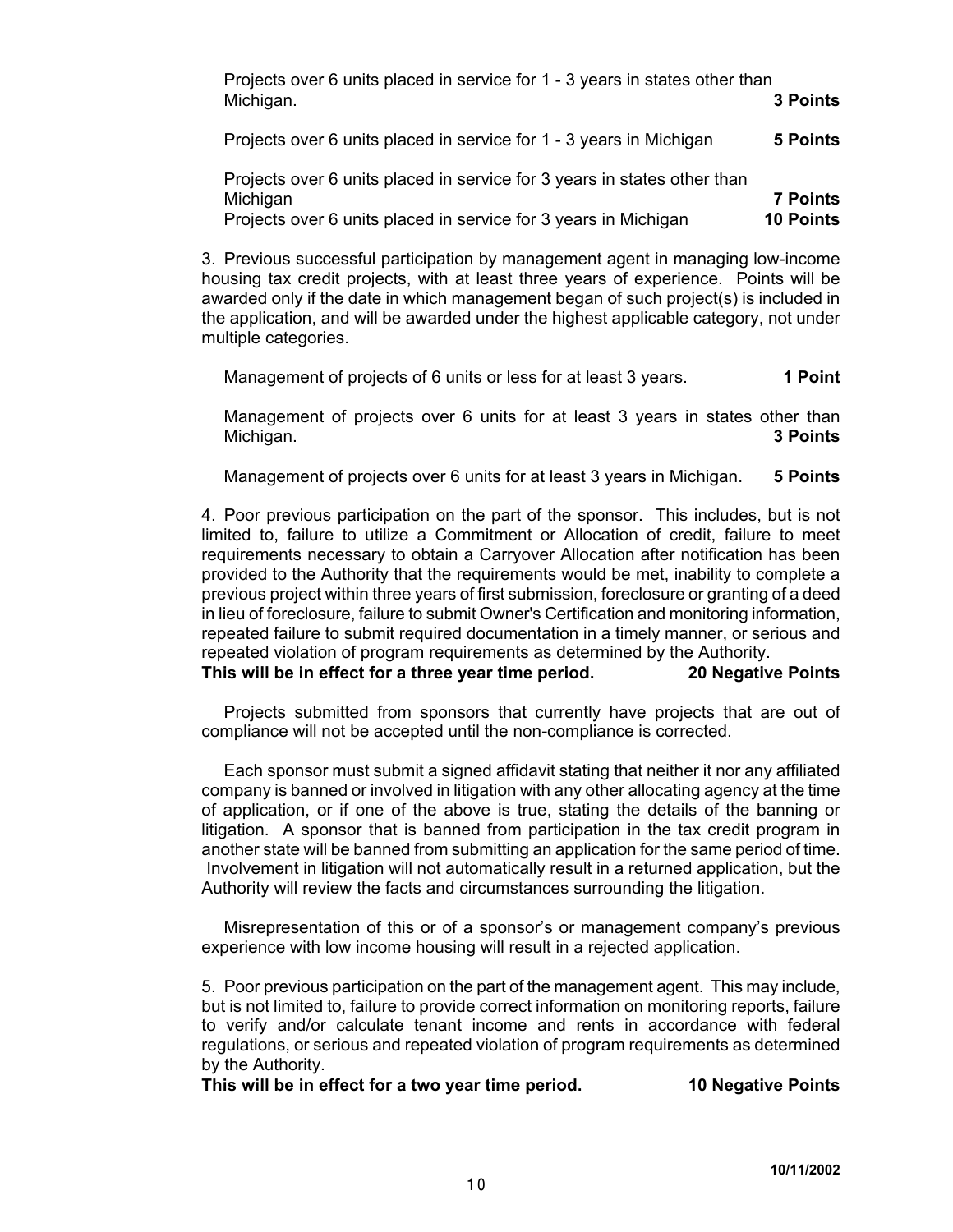| Projects over 6 units placed in service for 1 - 3 years in states other than<br>Michigan.                                                               | <b>3 Points</b>                     |
|---------------------------------------------------------------------------------------------------------------------------------------------------------|-------------------------------------|
| Projects over 6 units placed in service for 1 - 3 years in Michigan                                                                                     | <b>5 Points</b>                     |
| Projects over 6 units placed in service for 3 years in states other than<br>Michigan<br>Projects over 6 units placed in service for 3 years in Michigan | <b>7 Points</b><br><b>10 Points</b> |

3. Previous successful participation by management agent in managing low-income housing tax credit projects, with at least three years of experience. Points will be awarded only if the date in which management began of such project(s) is included in the application, and will be awarded under the highest applicable category, not under multiple categories.

Management of projects of 6 units or less for at least 3 years. **1 Point** 

Management of projects over 6 units for at least 3 years in states other than Michigan. **3 Points**

Management of projects over 6 units for at least 3 years in Michigan. **5 Points**

4. Poor previous participation on the part of the sponsor. This includes, but is not limited to, failure to utilize a Commitment or Allocation of credit, failure to meet requirements necessary to obtain a Carryover Allocation after notification has been provided to the Authority that the requirements would be met, inability to complete a previous project within three years of first submission, foreclosure or granting of a deed in lieu of foreclosure, failure to submit Owner's Certification and monitoring information, repeated failure to submit required documentation in a timely manner, or serious and repeated violation of program requirements as determined by the Authority.

**This will be in effect for a three year time period. 20 Negative Points**

Projects submitted from sponsors that currently have projects that are out of compliance will not be accepted until the non-compliance is corrected.

Each sponsor must submit a signed affidavit stating that neither it nor any affiliated company is banned or involved in litigation with any other allocating agency at the time of application, or if one of the above is true, stating the details of the banning or litigation. A sponsor that is banned from participation in the tax credit program in another state will be banned from submitting an application for the same period of time. Involvement in litigation will not automatically result in a returned application, but the Authority will review the facts and circumstances surrounding the litigation.

Misrepresentation of this or of a sponsor's or management company's previous experience with low income housing will result in a rejected application.

5. Poor previous participation on the part of the management agent. This may include, but is not limited to, failure to provide correct information on monitoring reports, failure to verify and/or calculate tenant income and rents in accordance with federal regulations, or serious and repeated violation of program requirements as determined by the Authority.

**This will be in effect for a two year time period. 10 Negative Points**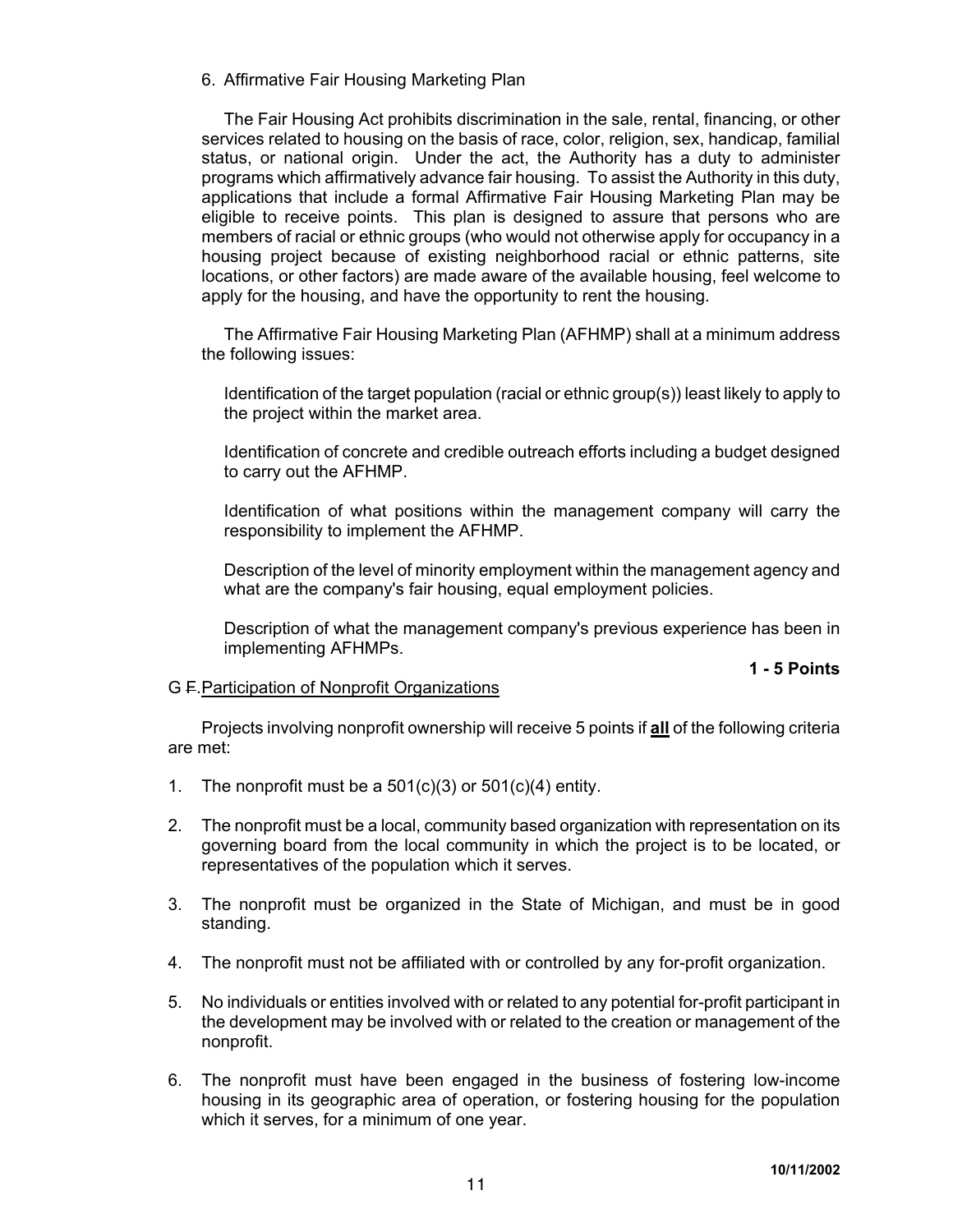## 6. Affirmative Fair Housing Marketing Plan

The Fair Housing Act prohibits discrimination in the sale, rental, financing, or other services related to housing on the basis of race, color, religion, sex, handicap, familial status, or national origin. Under the act, the Authority has a duty to administer programs which affirmatively advance fair housing. To assist the Authority in this duty, applications that include a formal Affirmative Fair Housing Marketing Plan may be eligible to receive points. This plan is designed to assure that persons who are members of racial or ethnic groups (who would not otherwise apply for occupancy in a housing project because of existing neighborhood racial or ethnic patterns, site locations, or other factors) are made aware of the available housing, feel welcome to apply for the housing, and have the opportunity to rent the housing.

The Affirmative Fair Housing Marketing Plan (AFHMP) shall at a minimum address the following issues:

Identification of the target population (racial or ethnic group(s)) least likely to apply to the project within the market area.

Identification of concrete and credible outreach efforts including a budget designed to carry out the AFHMP.

Identification of what positions within the management company will carry the responsibility to implement the AFHMP.

Description of the level of minority employment within the management agency and what are the company's fair housing, equal employment policies.

Description of what the management company's previous experience has been in implementing AFHMPs.

# **1 - 5 Points**

### G F.Participation of Nonprofit Organizations

Projects involving nonprofit ownership will receive 5 points if **all** of the following criteria are met:

- 1. The nonprofit must be a  $501(c)(3)$  or  $501(c)(4)$  entity.
- 2. The nonprofit must be a local, community based organization with representation on its governing board from the local community in which the project is to be located, or representatives of the population which it serves.
- 3. The nonprofit must be organized in the State of Michigan, and must be in good standing.
- 4. The nonprofit must not be affiliated with or controlled by any for-profit organization.
- 5. No individuals or entities involved with or related to any potential for-profit participant in the development may be involved with or related to the creation or management of the nonprofit.
- 6. The nonprofit must have been engaged in the business of fostering low-income housing in its geographic area of operation, or fostering housing for the population which it serves, for a minimum of one year.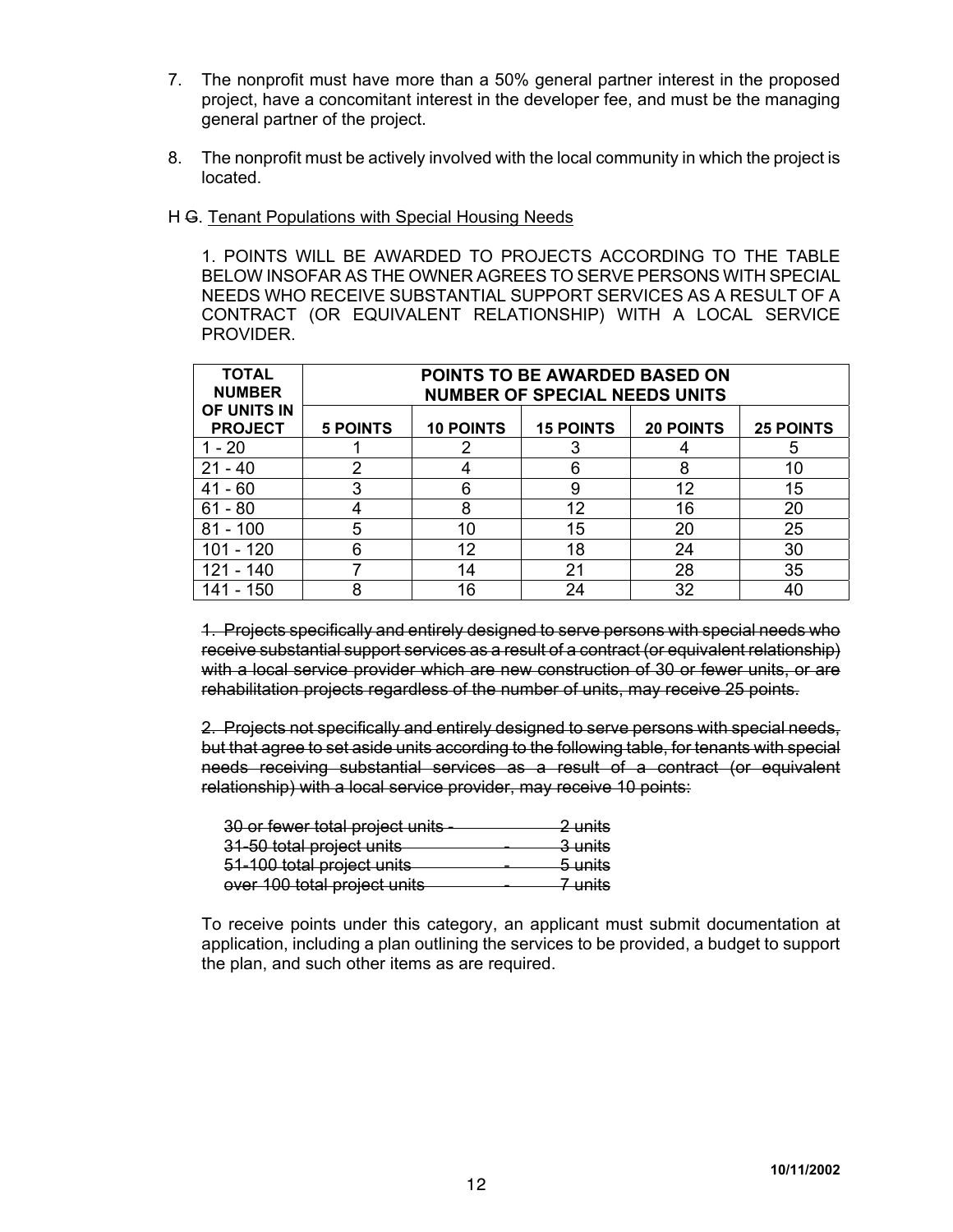- 7. The nonprofit must have more than a 50% general partner interest in the proposed project, have a concomitant interest in the developer fee, and must be the managing general partner of the project.
- 8. The nonprofit must be actively involved with the local community in which the project is located.

### H G. Tenant Populations with Special Housing Needs

1. POINTS WILL BE AWARDED TO PROJECTS ACCORDING TO THE TABLE BELOW INSOFAR AS THE OWNER AGREES TO SERVE PERSONS WITH SPECIAL NEEDS WHO RECEIVE SUBSTANTIAL SUPPORT SERVICES AS A RESULT OF A CONTRACT (OR EQUIVALENT RELATIONSHIP) WITH A LOCAL SERVICE PROVIDER.

| <b>TOTAL</b><br><b>NUMBER</b> | <b>POINTS TO BE AWARDED BASED ON</b><br><b>NUMBER OF SPECIAL NEEDS UNITS</b> |                  |                  |                  |                  |
|-------------------------------|------------------------------------------------------------------------------|------------------|------------------|------------------|------------------|
| OF UNITS IN<br><b>PROJECT</b> | <b>5 POINTS</b>                                                              | <b>10 POINTS</b> | <b>15 POINTS</b> | <b>20 POINTS</b> | <b>25 POINTS</b> |
| $1 - 20$                      |                                                                              |                  |                  |                  | 5                |
| $21 - 40$                     | ົ                                                                            |                  | 6                | 8                | 10               |
| $41 - 60$                     | 3                                                                            | 6                | 9                | 12               | 15               |
| $61 - 80$                     |                                                                              | 8                | 12               | 16               | 20               |
| $81 - 100$                    | 5                                                                            | 10               | 15               | 20               | 25               |
| 101 - 120                     | 6                                                                            | 12               | 18               | 24               | 30               |
| - 140                         |                                                                              | 14               | 21               | 28               | 35               |
| 141 - 150                     | 8                                                                            | 16               | 24               | 32               | 40               |

1. Projects specifically and entirely designed to serve persons with special needs who receive substantial support services as a result of a contract (or equivalent relationship) with a local service provider which are new construction of 30 or fewer units, or are rehabilitation projects regardless of the number of units, may receive 25 points.

2. Projects not specifically and entirely designed to serve persons with special needs, but that agree to set aside units according to the following table, for tenants with special needs receiving substantial services as a result of a contract (or equivalent relationship) with a local service provider, may receive 10 points:

| 30 or fewer total project units | <del>2 units</del> |
|---------------------------------|--------------------|
| 31-50 total project units       | <del>3 units</del> |
| 51-100 total project units      | <del>5 units</del> |
| over 100 total project units    | 7 unite            |

To receive points under this category, an applicant must submit documentation at application, including a plan outlining the services to be provided, a budget to support the plan, and such other items as are required.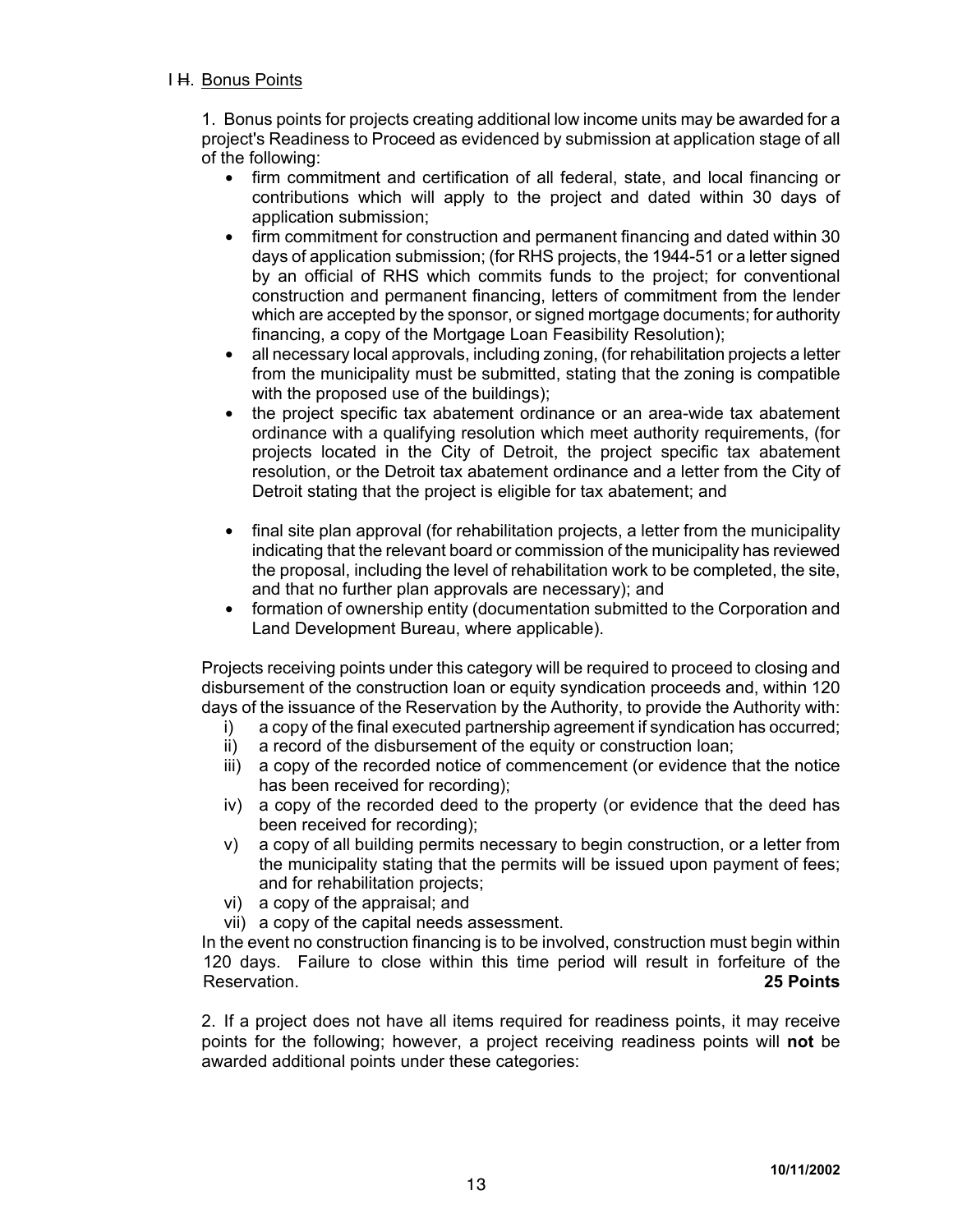# I H. Bonus Points

1. Bonus points for projects creating additional low income units may be awarded for a project's Readiness to Proceed as evidenced by submission at application stage of all of the following:

- firm commitment and certification of all federal, state, and local financing or contributions which will apply to the project and dated within 30 days of application submission;
- firm commitment for construction and permanent financing and dated within 30 days of application submission; (for RHS projects, the 1944-51 or a letter signed by an official of RHS which commits funds to the project; for conventional construction and permanent financing, letters of commitment from the lender which are accepted by the sponsor, or signed mortgage documents; for authority financing, a copy of the Mortgage Loan Feasibility Resolution);
- $\bullet$  all necessary local approvals, including zoning, (for rehabilitation projects a letter from the municipality must be submitted, stating that the zoning is compatible with the proposed use of the buildings);
- the project specific tax abatement ordinance or an area-wide tax abatement ordinance with a qualifying resolution which meet authority requirements, (for projects located in the City of Detroit, the project specific tax abatement resolution, or the Detroit tax abatement ordinance and a letter from the City of Detroit stating that the project is eligible for tax abatement; and
- final site plan approval (for rehabilitation projects, a letter from the municipality indicating that the relevant board or commission of the municipality has reviewed the proposal, including the level of rehabilitation work to be completed, the site, and that no further plan approvals are necessary); and
- formation of ownership entity (documentation submitted to the Corporation and Land Development Bureau, where applicable).

Projects receiving points under this category will be required to proceed to closing and disbursement of the construction loan or equity syndication proceeds and, within 120 days of the issuance of the Reservation by the Authority, to provide the Authority with:

- i) a copy of the final executed partnership agreement if syndication has occurred;
- ii) a record of the disbursement of the equity or construction loan:
- iii) a copy of the recorded notice of commencement (or evidence that the notice has been received for recording);
- iv) a copy of the recorded deed to the property (or evidence that the deed has been received for recording);
- v) a copy of all building permits necessary to begin construction, or a letter from the municipality stating that the permits will be issued upon payment of fees; and for rehabilitation projects;
- vi) a copy of the appraisal; and
- vii) a copy of the capital needs assessment.

In the event no construction financing is to be involved, construction must begin within 120 days. Failure to close within this time period will result in forfeiture of the Reservation. **25 Points**

2. If a project does not have all items required for readiness points, it may receive points for the following; however, a project receiving readiness points will **not** be awarded additional points under these categories: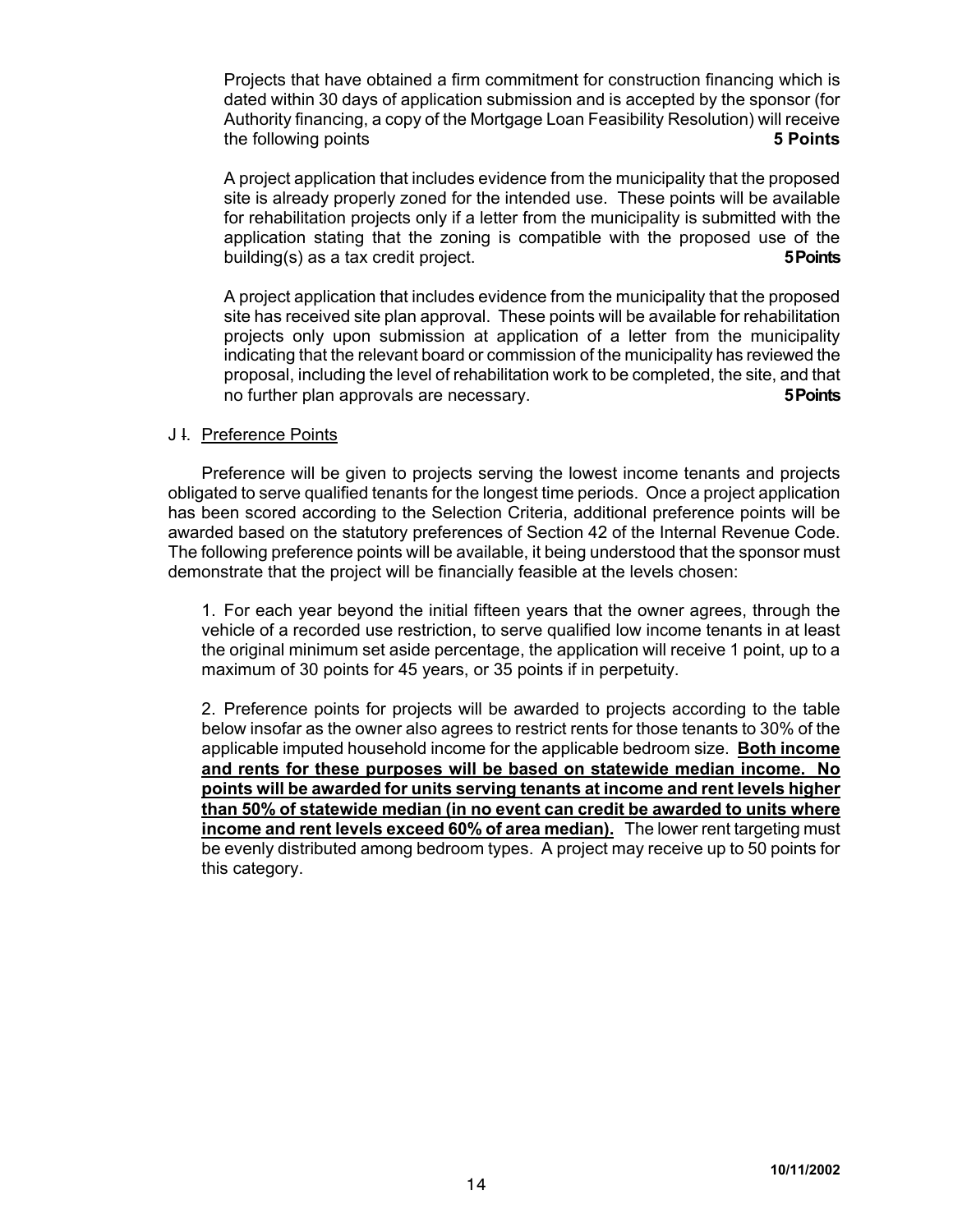Projects that have obtained a firm commitment for construction financing which is dated within 30 days of application submission and is accepted by the sponsor (for Authority financing, a copy of the Mortgage Loan Feasibility Resolution) will receive the following points **5 Points**

A project application that includes evidence from the municipality that the proposed site is already properly zoned for the intended use. These points will be available for rehabilitation projects only if a letter from the municipality is submitted with the application stating that the zoning is compatible with the proposed use of the building(s) as a tax credit project. **5 Points**

A project application that includes evidence from the municipality that the proposed site has received site plan approval. These points will be available for rehabilitation projects only upon submission at application of a letter from the municipality indicating that the relevant board or commission of the municipality has reviewed the proposal, including the level of rehabilitation work to be completed, the site, and that no further plan approvals are necessary. **5 Points**

#### J I. Preference Points

Preference will be given to projects serving the lowest income tenants and projects obligated to serve qualified tenants for the longest time periods. Once a project application has been scored according to the Selection Criteria, additional preference points will be awarded based on the statutory preferences of Section 42 of the Internal Revenue Code. The following preference points will be available, it being understood that the sponsor must demonstrate that the project will be financially feasible at the levels chosen:

1. For each year beyond the initial fifteen years that the owner agrees, through the vehicle of a recorded use restriction, to serve qualified low income tenants in at least the original minimum set aside percentage, the application will receive 1 point, up to a maximum of 30 points for 45 years, or 35 points if in perpetuity.

2. Preference points for projects will be awarded to projects according to the table below insofar as the owner also agrees to restrict rents for those tenants to 30% of the applicable imputed household income for the applicable bedroom size. **Both income and rents for these purposes will be based on statewide median income. No points will be awarded for units serving tenants at income and rent levels higher than 50% of statewide median (in no event can credit be awarded to units where income and rent levels exceed 60% of area median).** The lower rent targeting must be evenly distributed among bedroom types. A project may receive up to 50 points for this category.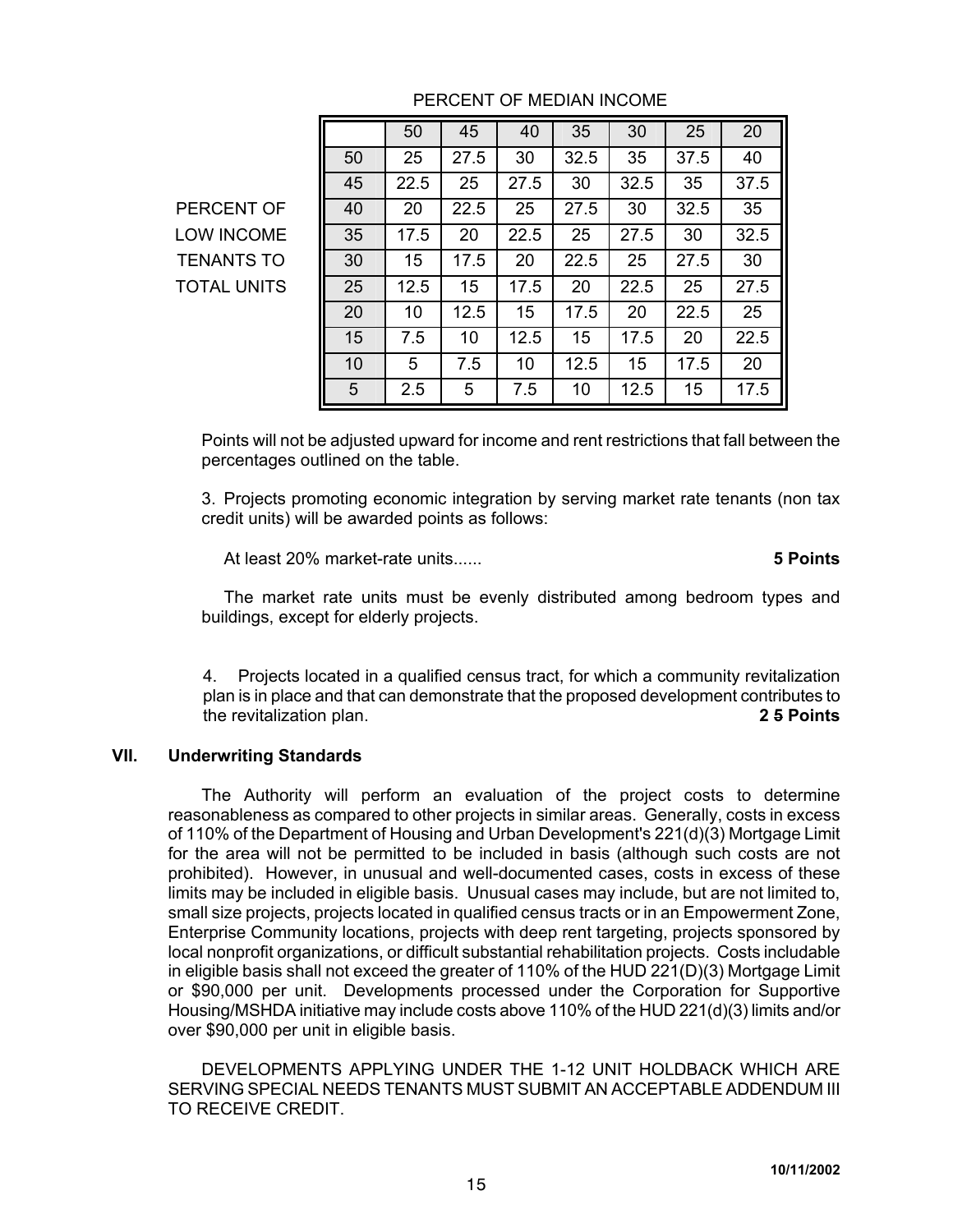|                    |    | 50   | 45   | 40   | 35   | 30   | 25   | 20   |
|--------------------|----|------|------|------|------|------|------|------|
|                    | 50 | 25   | 27.5 | 30   | 32.5 | 35   | 37.5 | 40   |
|                    | 45 | 22.5 | 25   | 27.5 | 30   | 32.5 | 35   | 37.5 |
| PERCENT OF         | 40 | 20   | 22.5 | 25   | 27.5 | 30   | 32.5 | 35   |
| <b>LOW INCOME</b>  | 35 | 17.5 | 20   | 22.5 | 25   | 27.5 | 30   | 32.5 |
| <b>TENANTS TO</b>  | 30 | 15   | 17.5 | 20   | 22.5 | 25   | 27.5 | 30   |
| <b>TOTAL UNITS</b> | 25 | 12.5 | 15   | 17.5 | 20   | 22.5 | 25   | 27.5 |
|                    | 20 | 10   | 12.5 | 15   | 17.5 | 20   | 22.5 | 25   |
|                    | 15 | 7.5  | 10   | 12.5 | 15   | 17.5 | 20   | 22.5 |
|                    | 10 | 5    | 7.5  | 10   | 12.5 | 15   | 17.5 | 20   |
|                    | 5  | 2.5  | 5    | 7.5  | 10   | 12.5 | 15   | 17.5 |

# PERCENT OF MEDIAN INCOME

Points will not be adjusted upward for income and rent restrictions that fall between the percentages outlined on the table.

3. Projects promoting economic integration by serving market rate tenants (non tax credit units) will be awarded points as follows:

At least 20% market-rate units...... **5 Points**

The market rate units must be evenly distributed among bedroom types and buildings, except for elderly projects.

4. Projects located in a qualified census tract, for which a community revitalization plan is in place and that can demonstrate that the proposed development contributes to the revitalization plan. **2 5 Points**

# **VII. Underwriting Standards**

The Authority will perform an evaluation of the project costs to determine reasonableness as compared to other projects in similar areas. Generally, costs in excess of 110% of the Department of Housing and Urban Development's 221(d)(3) Mortgage Limit for the area will not be permitted to be included in basis (although such costs are not prohibited). However, in unusual and well-documented cases, costs in excess of these limits may be included in eligible basis. Unusual cases may include, but are not limited to, small size projects, projects located in qualified census tracts or in an Empowerment Zone, Enterprise Community locations, projects with deep rent targeting, projects sponsored by local nonprofit organizations, or difficult substantial rehabilitation projects. Costs includable in eligible basis shall not exceed the greater of 110% of the HUD 221(D)(3) Mortgage Limit or \$90,000 per unit. Developments processed under the Corporation for Supportive Housing/MSHDA initiative may include costs above 110% of the HUD 221(d)(3) limits and/or over \$90,000 per unit in eligible basis.

DEVELOPMENTS APPLYING UNDER THE 1-12 UNIT HOLDBACK WHICH ARE SERVING SPECIAL NEEDS TENANTS MUST SUBMIT AN ACCEPTABLE ADDENDUM III TO RECEIVE CREDIT.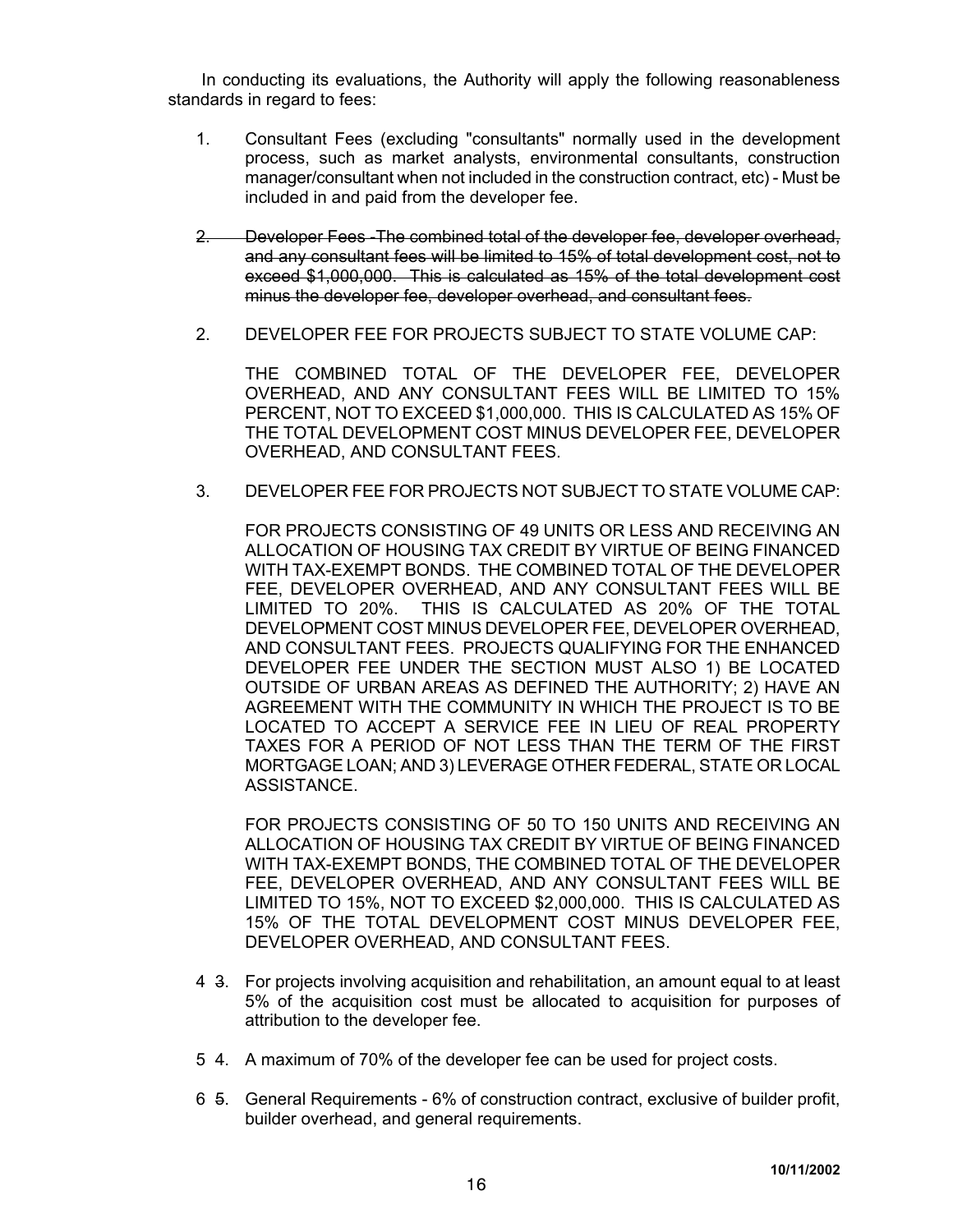In conducting its evaluations, the Authority will apply the following reasonableness standards in regard to fees:

- 1. Consultant Fees (excluding "consultants" normally used in the development process, such as market analysts, environmental consultants, construction manager/consultant when not included in the construction contract, etc) - Must be included in and paid from the developer fee.
- 2. Developer Fees -The combined total of the developer fee, developer overhead, and any consultant fees will be limited to 15% of total development cost, not to exceed \$1,000,000. This is calculated as 15% of the total development cost minus the developer fee, developer overhead, and consultant fees.
- 2. DEVELOPER FEE FOR PROJECTS SUBJECT TO STATE VOLUME CAP:

THE COMBINED TOTAL OF THE DEVELOPER FEE, DEVELOPER OVERHEAD, AND ANY CONSULTANT FEES WILL BE LIMITED TO 15% PERCENT, NOT TO EXCEED \$1,000,000. THIS IS CALCULATED AS 15% OF THE TOTAL DEVELOPMENT COST MINUS DEVELOPER FEE, DEVELOPER OVERHEAD, AND CONSULTANT FEES.

3. DEVELOPER FEE FOR PROJECTS NOT SUBJECT TO STATE VOLUME CAP:

FOR PROJECTS CONSISTING OF 49 UNITS OR LESS AND RECEIVING AN ALLOCATION OF HOUSING TAX CREDIT BY VIRTUE OF BEING FINANCED WITH TAX-EXEMPT BONDS. THE COMBINED TOTAL OF THE DEVELOPER FEE, DEVELOPER OVERHEAD, AND ANY CONSULTANT FEES WILL BE LIMITED TO 20%. THIS IS CALCULATED AS 20% OF THE TOTAL DEVELOPMENT COST MINUS DEVELOPER FEE, DEVELOPER OVERHEAD, AND CONSULTANT FEES. PROJECTS QUALIFYING FOR THE ENHANCED DEVELOPER FEE UNDER THE SECTION MUST ALSO 1) BE LOCATED OUTSIDE OF URBAN AREAS AS DEFINED THE AUTHORITY; 2) HAVE AN AGREEMENT WITH THE COMMUNITY IN WHICH THE PROJECT IS TO BE LOCATED TO ACCEPT A SERVICE FEE IN LIEU OF REAL PROPERTY TAXES FOR A PERIOD OF NOT LESS THAN THE TERM OF THE FIRST MORTGAGE LOAN; AND 3) LEVERAGE OTHER FEDERAL, STATE OR LOCAL ASSISTANCE.

FOR PROJECTS CONSISTING OF 50 TO 150 UNITS AND RECEIVING AN ALLOCATION OF HOUSING TAX CREDIT BY VIRTUE OF BEING FINANCED WITH TAX-EXEMPT BONDS, THE COMBINED TOTAL OF THE DEVELOPER FEE, DEVELOPER OVERHEAD, AND ANY CONSULTANT FEES WILL BE LIMITED TO 15%, NOT TO EXCEED \$2,000,000. THIS IS CALCULATED AS 15% OF THE TOTAL DEVELOPMENT COST MINUS DEVELOPER FEE, DEVELOPER OVERHEAD, AND CONSULTANT FEES.

- 4 3. For projects involving acquisition and rehabilitation, an amount equal to at least 5% of the acquisition cost must be allocated to acquisition for purposes of attribution to the developer fee.
- 5 4. A maximum of 70% of the developer fee can be used for project costs.
- 6 5. General Requirements 6% of construction contract, exclusive of builder profit, builder overhead, and general requirements.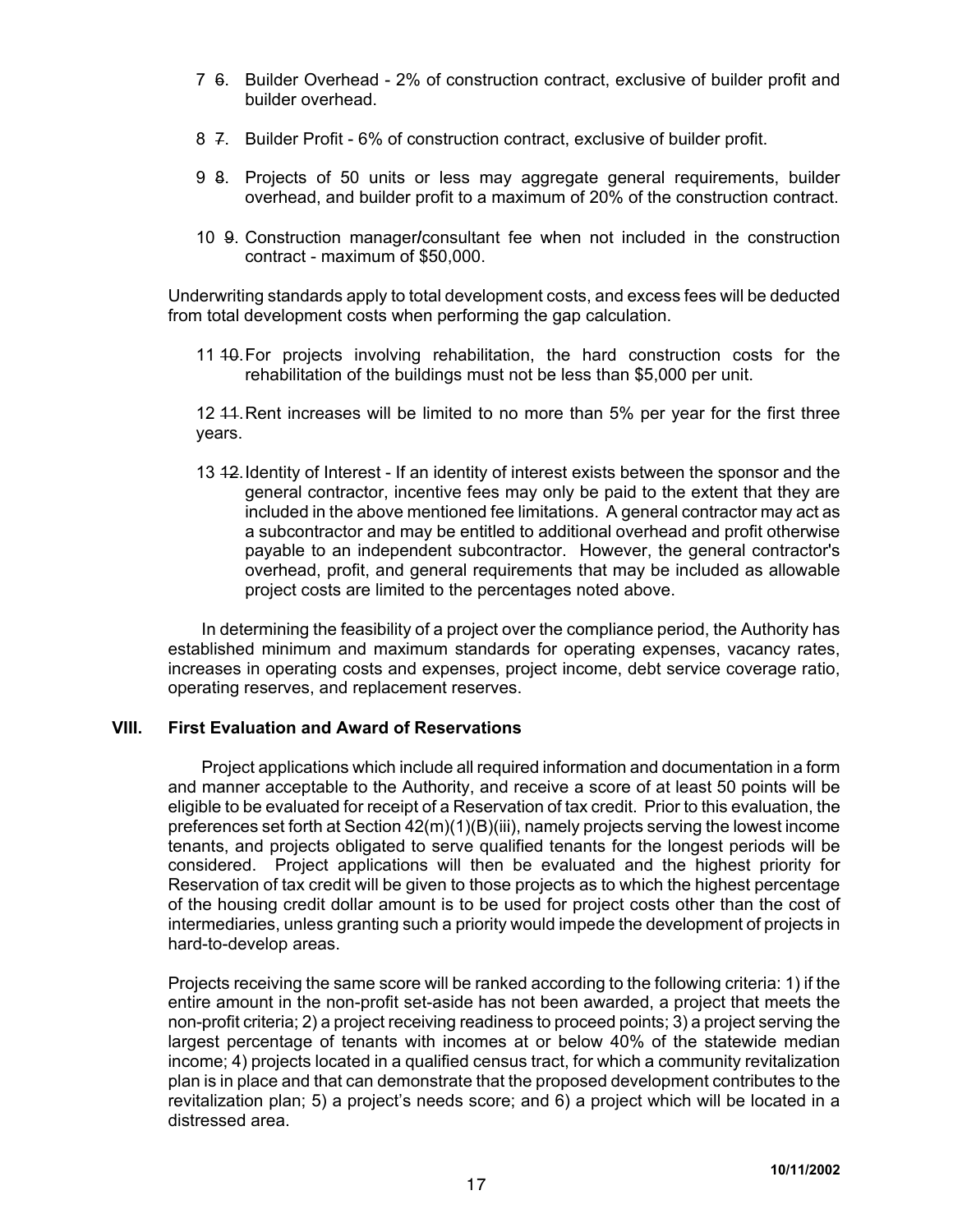- 7 6. Builder Overhead 2% of construction contract, exclusive of builder profit and builder overhead.
- 8 7. Builder Profit 6% of construction contract, exclusive of builder profit.
- 9 8. Projects of 50 units or less may aggregate general requirements, builder overhead, and builder profit to a maximum of 20% of the construction contract.
- 10 9. Construction manager**/**consultant fee when not included in the construction contract - maximum of \$50,000.

Underwriting standards apply to total development costs, and excess fees will be deducted from total development costs when performing the gap calculation.

11 40. For projects involving rehabilitation, the hard construction costs for the rehabilitation of the buildings must not be less than \$5,000 per unit.

12 44. Rent increases will be limited to no more than 5% per year for the first three years.

13 12. Identity of Interest - If an identity of interest exists between the sponsor and the general contractor, incentive fees may only be paid to the extent that they are included in the above mentioned fee limitations. A general contractor may act as a subcontractor and may be entitled to additional overhead and profit otherwise payable to an independent subcontractor. However, the general contractor's overhead, profit, and general requirements that may be included as allowable project costs are limited to the percentages noted above.

In determining the feasibility of a project over the compliance period, the Authority has established minimum and maximum standards for operating expenses, vacancy rates, increases in operating costs and expenses, project income, debt service coverage ratio, operating reserves, and replacement reserves.

### **VIII. First Evaluation and Award of Reservations**

Project applications which include all required information and documentation in a form and manner acceptable to the Authority, and receive a score of at least 50 points will be eligible to be evaluated for receipt of a Reservation of tax credit. Prior to this evaluation, the preferences set forth at Section 42(m)(1)(B)(iii), namely projects serving the lowest income tenants, and projects obligated to serve qualified tenants for the longest periods will be considered. Project applications will then be evaluated and the highest priority for Reservation of tax credit will be given to those projects as to which the highest percentage of the housing credit dollar amount is to be used for project costs other than the cost of intermediaries, unless granting such a priority would impede the development of projects in hard-to-develop areas.

Projects receiving the same score will be ranked according to the following criteria: 1) if the entire amount in the non-profit set-aside has not been awarded, a project that meets the non-profit criteria; 2) a project receiving readiness to proceed points; 3) a project serving the largest percentage of tenants with incomes at or below 40% of the statewide median income; 4) projects located in a qualified census tract, for which a community revitalization plan is in place and that can demonstrate that the proposed development contributes to the revitalization plan; 5) a project's needs score; and 6) a project which will be located in a distressed area.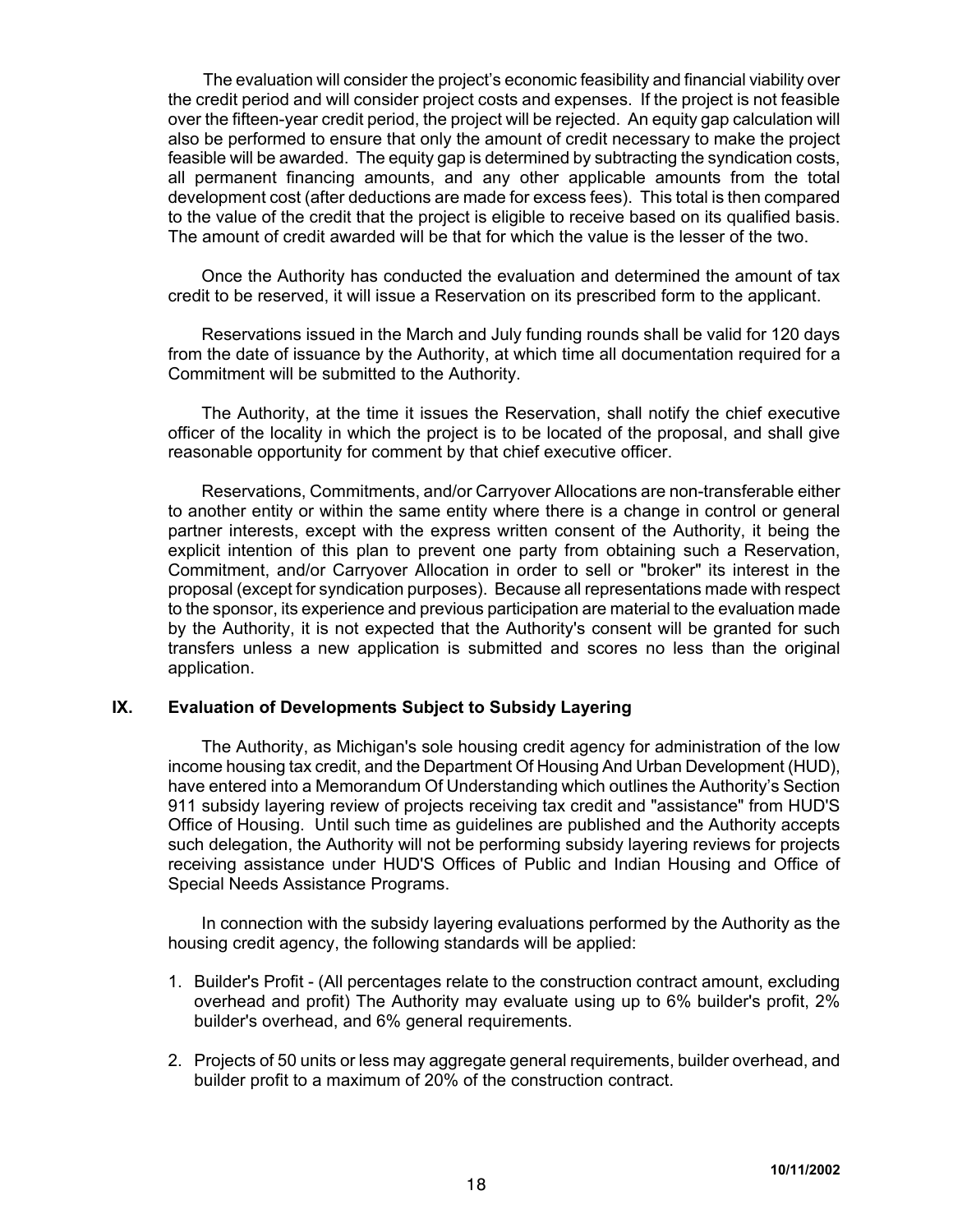The evaluation will consider the project's economic feasibility and financial viability over the credit period and will consider project costs and expenses. If the project is not feasible over the fifteen-year credit period, the project will be rejected. An equity gap calculation will also be performed to ensure that only the amount of credit necessary to make the project feasible will be awarded. The equity gap is determined by subtracting the syndication costs, all permanent financing amounts, and any other applicable amounts from the total development cost (after deductions are made for excess fees). This total is then compared to the value of the credit that the project is eligible to receive based on its qualified basis. The amount of credit awarded will be that for which the value is the lesser of the two.

Once the Authority has conducted the evaluation and determined the amount of tax credit to be reserved, it will issue a Reservation on its prescribed form to the applicant.

Reservations issued in the March and July funding rounds shall be valid for 120 days from the date of issuance by the Authority, at which time all documentation required for a Commitment will be submitted to the Authority.

The Authority, at the time it issues the Reservation, shall notify the chief executive officer of the locality in which the project is to be located of the proposal, and shall give reasonable opportunity for comment by that chief executive officer.

Reservations, Commitments, and/or Carryover Allocations are non-transferable either to another entity or within the same entity where there is a change in control or general partner interests, except with the express written consent of the Authority, it being the explicit intention of this plan to prevent one party from obtaining such a Reservation, Commitment, and/or Carryover Allocation in order to sell or "broker" its interest in the proposal (except for syndication purposes). Because all representations made with respect to the sponsor, its experience and previous participation are material to the evaluation made by the Authority, it is not expected that the Authority's consent will be granted for such transfers unless a new application is submitted and scores no less than the original application.

### **IX. Evaluation of Developments Subject to Subsidy Layering**

The Authority, as Michigan's sole housing credit agency for administration of the low income housing tax credit, and the Department Of Housing And Urban Development (HUD), have entered into a Memorandum Of Understanding which outlines the Authority's Section 911 subsidy layering review of projects receiving tax credit and "assistance" from HUD'S Office of Housing. Until such time as guidelines are published and the Authority accepts such delegation, the Authority will not be performing subsidy layering reviews for projects receiving assistance under HUD'S Offices of Public and Indian Housing and Office of Special Needs Assistance Programs.

In connection with the subsidy layering evaluations performed by the Authority as the housing credit agency, the following standards will be applied:

- 1. Builder's Profit (All percentages relate to the construction contract amount, excluding overhead and profit) The Authority may evaluate using up to 6% builder's profit, 2% builder's overhead, and 6% general requirements.
- 2. Projects of 50 units or less may aggregate general requirements, builder overhead, and builder profit to a maximum of 20% of the construction contract.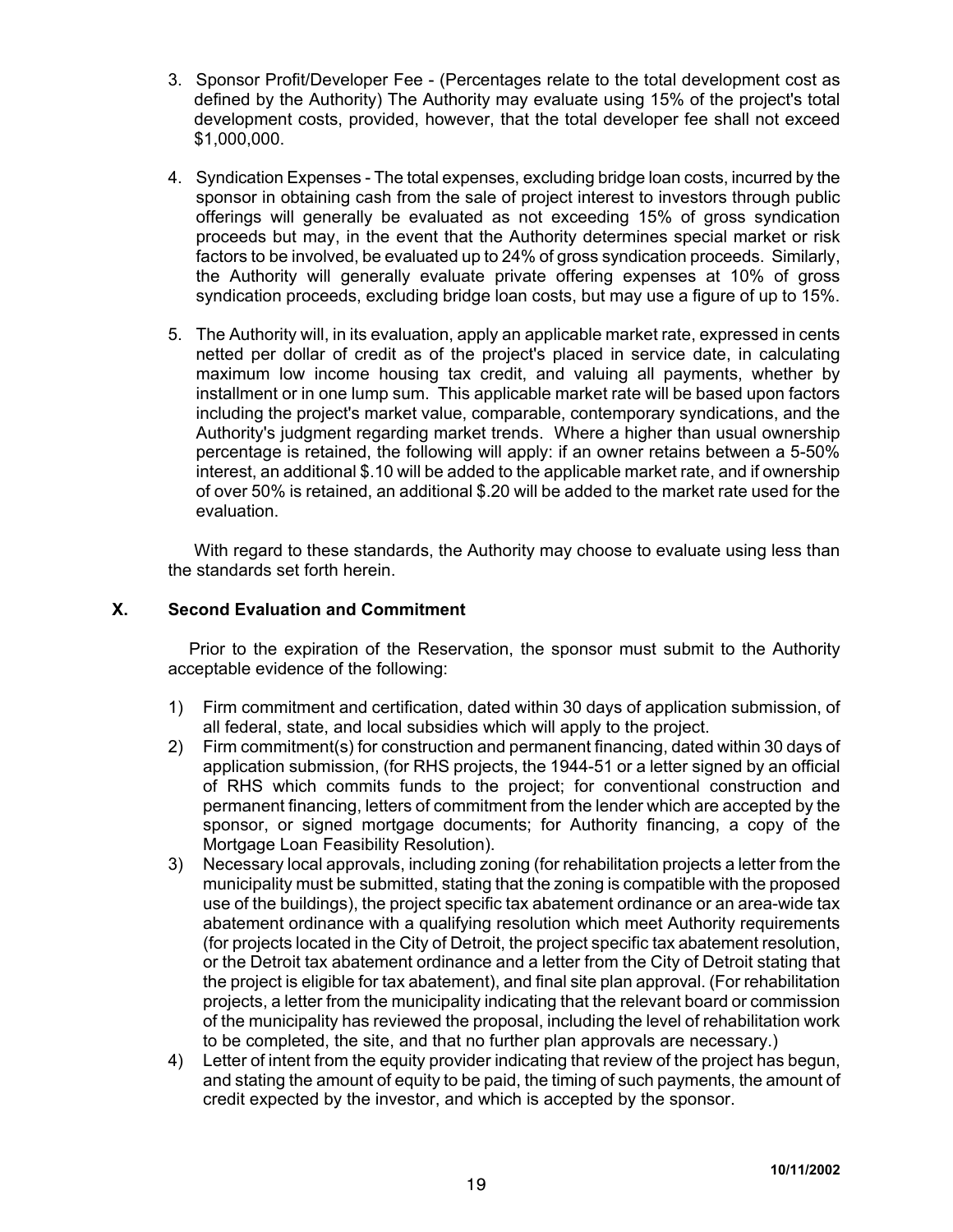- 3. Sponsor Profit/Developer Fee (Percentages relate to the total development cost as defined by the Authority) The Authority may evaluate using 15% of the project's total development costs, provided, however, that the total developer fee shall not exceed \$1,000,000.
- 4. Syndication Expenses The total expenses, excluding bridge loan costs, incurred by the sponsor in obtaining cash from the sale of project interest to investors through public offerings will generally be evaluated as not exceeding 15% of gross syndication proceeds but may, in the event that the Authority determines special market or risk factors to be involved, be evaluated up to 24% of gross syndication proceeds. Similarly, the Authority will generally evaluate private offering expenses at 10% of gross syndication proceeds, excluding bridge loan costs, but may use a figure of up to 15%.
- 5. The Authority will, in its evaluation, apply an applicable market rate, expressed in cents netted per dollar of credit as of the project's placed in service date, in calculating maximum low income housing tax credit, and valuing all payments, whether by installment or in one lump sum. This applicable market rate will be based upon factors including the project's market value, comparable, contemporary syndications, and the Authority's judgment regarding market trends. Where a higher than usual ownership percentage is retained, the following will apply: if an owner retains between a 5-50% interest, an additional \$.10 will be added to the applicable market rate, and if ownership of over 50% is retained, an additional \$.20 will be added to the market rate used for the evaluation.

With regard to these standards, the Authority may choose to evaluate using less than the standards set forth herein.

# **X. Second Evaluation and Commitment**

Prior to the expiration of the Reservation, the sponsor must submit to the Authority acceptable evidence of the following:

- 1) Firm commitment and certification, dated within 30 days of application submission, of all federal, state, and local subsidies which will apply to the project.
- 2) Firm commitment(s) for construction and permanent financing, dated within 30 days of application submission, (for RHS projects, the 1944-51 or a letter signed by an official of RHS which commits funds to the project; for conventional construction and permanent financing, letters of commitment from the lender which are accepted by the sponsor, or signed mortgage documents; for Authority financing, a copy of the Mortgage Loan Feasibility Resolution).
- 3) Necessary local approvals, including zoning (for rehabilitation projects a letter from the municipality must be submitted, stating that the zoning is compatible with the proposed use of the buildings), the project specific tax abatement ordinance or an area-wide tax abatement ordinance with a qualifying resolution which meet Authority requirements (for projects located in the City of Detroit, the project specific tax abatement resolution, or the Detroit tax abatement ordinance and a letter from the City of Detroit stating that the project is eligible for tax abatement), and final site plan approval. (For rehabilitation projects, a letter from the municipality indicating that the relevant board or commission of the municipality has reviewed the proposal, including the level of rehabilitation work to be completed, the site, and that no further plan approvals are necessary.)
- 4) Letter of intent from the equity provider indicating that review of the project has begun, and stating the amount of equity to be paid, the timing of such payments, the amount of credit expected by the investor, and which is accepted by the sponsor.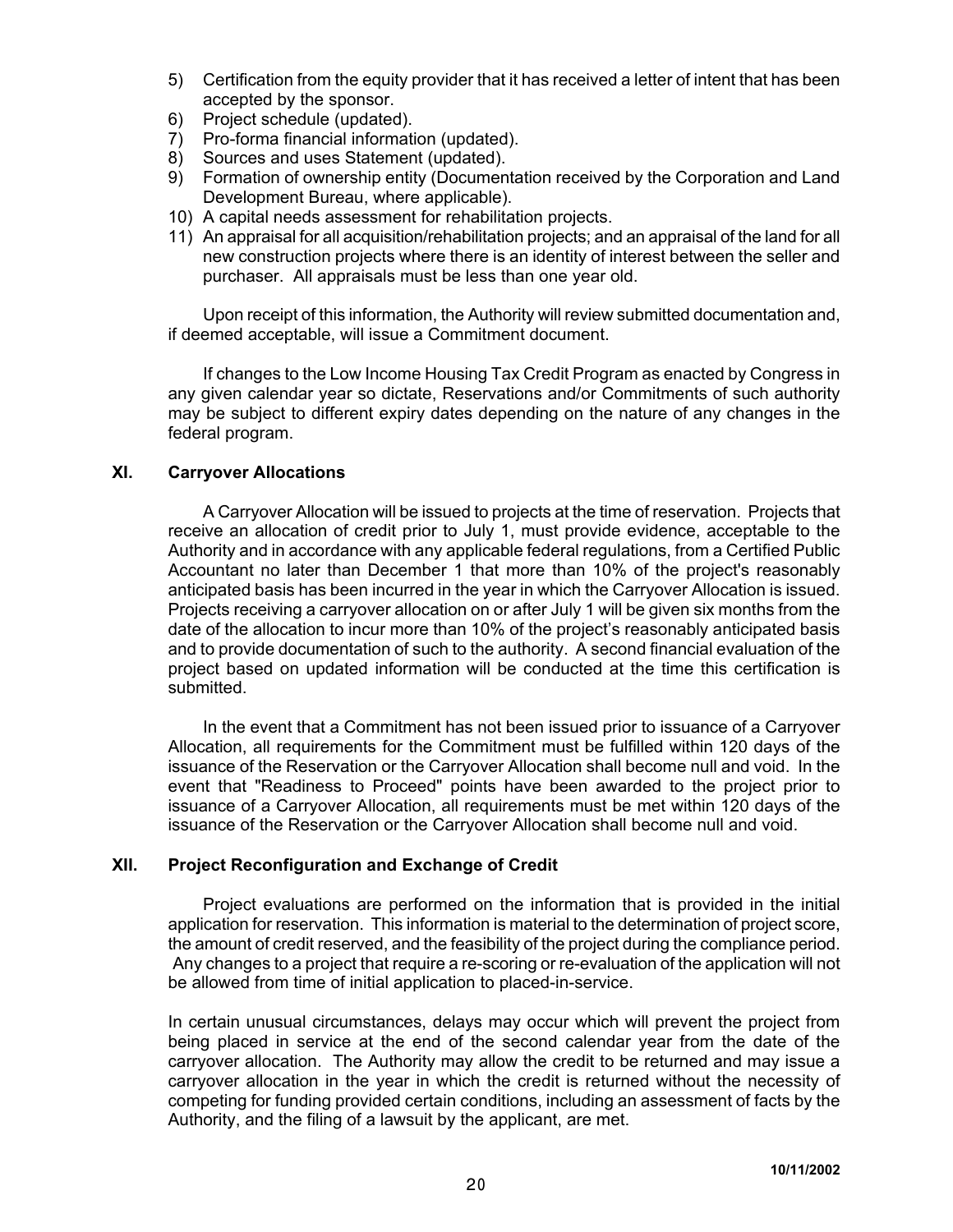- 5) Certification from the equity provider that it has received a letter of intent that has been accepted by the sponsor.
- 6) Project schedule (updated).
- 7) Pro-forma financial information (updated).
- 8) Sources and uses Statement (updated).
- 9) Formation of ownership entity (Documentation received by the Corporation and Land Development Bureau, where applicable).
- 10) A capital needs assessment for rehabilitation projects.
- 11) An appraisal for all acquisition/rehabilitation projects; and an appraisal of the land for all new construction projects where there is an identity of interest between the seller and purchaser. All appraisals must be less than one year old.

Upon receipt of this information, the Authority will review submitted documentation and, if deemed acceptable, will issue a Commitment document.

If changes to the Low Income Housing Tax Credit Program as enacted by Congress in any given calendar year so dictate, Reservations and/or Commitments of such authority may be subject to different expiry dates depending on the nature of any changes in the federal program.

# **XI. Carryover Allocations**

A Carryover Allocation will be issued to projects at the time of reservation. Projects that receive an allocation of credit prior to July 1, must provide evidence, acceptable to the Authority and in accordance with any applicable federal regulations, from a Certified Public Accountant no later than December 1 that more than 10% of the project's reasonably anticipated basis has been incurred in the year in which the Carryover Allocation is issued. Projects receiving a carryover allocation on or after July 1 will be given six months from the date of the allocation to incur more than 10% of the project's reasonably anticipated basis and to provide documentation of such to the authority. A second financial evaluation of the project based on updated information will be conducted at the time this certification is submitted.

In the event that a Commitment has not been issued prior to issuance of a Carryover Allocation, all requirements for the Commitment must be fulfilled within 120 days of the issuance of the Reservation or the Carryover Allocation shall become null and void. In the event that "Readiness to Proceed" points have been awarded to the project prior to issuance of a Carryover Allocation, all requirements must be met within 120 days of the issuance of the Reservation or the Carryover Allocation shall become null and void.

## **XII. Project Reconfiguration and Exchange of Credit**

Project evaluations are performed on the information that is provided in the initial application for reservation. This information is material to the determination of project score, the amount of credit reserved, and the feasibility of the project during the compliance period. Any changes to a project that require a re-scoring or re-evaluation of the application will not be allowed from time of initial application to placed-in-service.

In certain unusual circumstances, delays may occur which will prevent the project from being placed in service at the end of the second calendar year from the date of the carryover allocation. The Authority may allow the credit to be returned and may issue a carryover allocation in the year in which the credit is returned without the necessity of competing for funding provided certain conditions, including an assessment of facts by the Authority, and the filing of a lawsuit by the applicant, are met.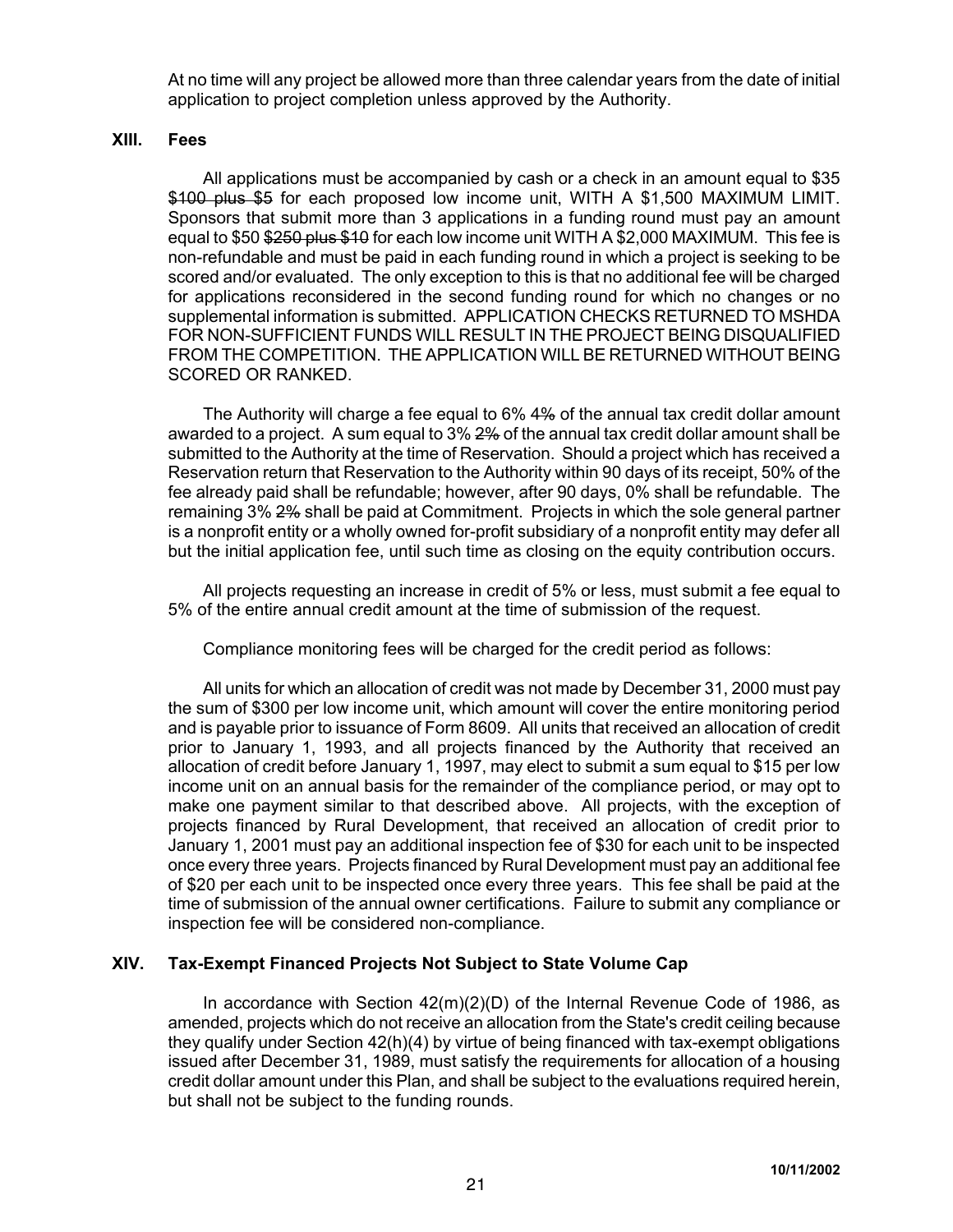At no time will any project be allowed more than three calendar years from the date of initial application to project completion unless approved by the Authority.

### **XIII. Fees**

All applications must be accompanied by cash or a check in an amount equal to \$35 \$100 plus \$5 for each proposed low income unit, WITH A \$1,500 MAXIMUM LIMIT. Sponsors that submit more than 3 applications in a funding round must pay an amount equal to \$50 \$250 plus \$10 for each low income unit WITH A \$2,000 MAXIMUM. This fee is non-refundable and must be paid in each funding round in which a project is seeking to be scored and/or evaluated. The only exception to this is that no additional fee will be charged for applications reconsidered in the second funding round for which no changes or no supplemental information is submitted. APPLICATION CHECKS RETURNED TO MSHDA FOR NON-SUFFICIENT FUNDS WILL RESULT IN THE PROJECT BEING DISQUALIFIED FROM THE COMPETITION. THE APPLICATION WILL BE RETURNED WITHOUT BEING SCORED OR RANKED.

The Authority will charge a fee equal to 6% 4% of the annual tax credit dollar amount awarded to a project. A sum equal to 3% 2% of the annual tax credit dollar amount shall be submitted to the Authority at the time of Reservation. Should a project which has received a Reservation return that Reservation to the Authority within 90 days of its receipt, 50% of the fee already paid shall be refundable; however, after 90 days, 0% shall be refundable. The remaining 3% 2% shall be paid at Commitment. Projects in which the sole general partner is a nonprofit entity or a wholly owned for-profit subsidiary of a nonprofit entity may defer all but the initial application fee, until such time as closing on the equity contribution occurs.

All projects requesting an increase in credit of 5% or less, must submit a fee equal to 5% of the entire annual credit amount at the time of submission of the request.

Compliance monitoring fees will be charged for the credit period as follows:

All units for which an allocation of credit was not made by December 31, 2000 must pay the sum of \$300 per low income unit, which amount will cover the entire monitoring period and is payable prior to issuance of Form 8609. All units that received an allocation of credit prior to January 1, 1993, and all projects financed by the Authority that received an allocation of credit before January 1, 1997, may elect to submit a sum equal to \$15 per low income unit on an annual basis for the remainder of the compliance period, or may opt to make one payment similar to that described above. All projects, with the exception of projects financed by Rural Development, that received an allocation of credit prior to January 1, 2001 must pay an additional inspection fee of \$30 for each unit to be inspected once every three years. Projects financed by Rural Development must pay an additional fee of \$20 per each unit to be inspected once every three years. This fee shall be paid at the time of submission of the annual owner certifications. Failure to submit any compliance or inspection fee will be considered non-compliance.

### **XIV. Tax-Exempt Financed Projects Not Subject to State Volume Cap**

In accordance with Section 42(m)(2)(D) of the Internal Revenue Code of 1986, as amended, projects which do not receive an allocation from the State's credit ceiling because they qualify under Section 42(h)(4) by virtue of being financed with tax-exempt obligations issued after December 31, 1989, must satisfy the requirements for allocation of a housing credit dollar amount under this Plan, and shall be subject to the evaluations required herein, but shall not be subject to the funding rounds.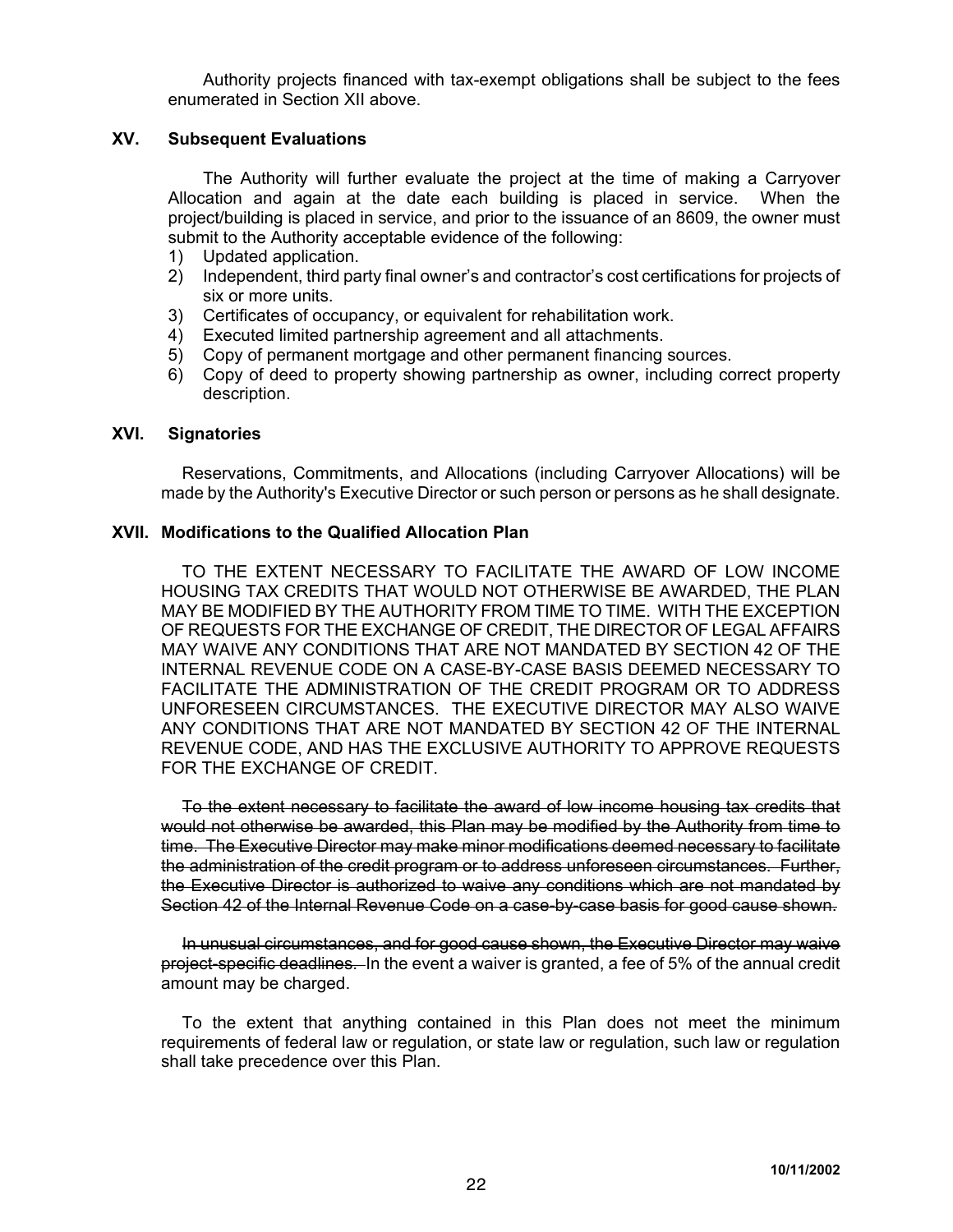Authority projects financed with tax-exempt obligations shall be subject to the fees enumerated in Section XII above.

# **XV. Subsequent Evaluations**

The Authority will further evaluate the project at the time of making a Carryover Allocation and again at the date each building is placed in service. When the project/building is placed in service, and prior to the issuance of an 8609, the owner must submit to the Authority acceptable evidence of the following:

- 1) Updated application.
- 2) Independent, third party final owner's and contractor's cost certifications for projects of six or more units.
- 3) Certificates of occupancy, or equivalent for rehabilitation work.
- 4) Executed limited partnership agreement and all attachments.
- 5) Copy of permanent mortgage and other permanent financing sources.
- 6) Copy of deed to property showing partnership as owner, including correct property description.

#### **XVI. Signatories**

Reservations, Commitments, and Allocations (including Carryover Allocations) will be made by the Authority's Executive Director or such person or persons as he shall designate.

# **XVII. Modifications to the Qualified Allocation Plan**

TO THE EXTENT NECESSARY TO FACILITATE THE AWARD OF LOW INCOME HOUSING TAX CREDITS THAT WOULD NOT OTHERWISE BE AWARDED, THE PLAN MAY BE MODIFIED BY THE AUTHORITY FROM TIME TO TIME. WITH THE EXCEPTION OF REQUESTS FOR THE EXCHANGE OF CREDIT, THE DIRECTOR OF LEGAL AFFAIRS MAY WAIVE ANY CONDITIONS THAT ARE NOT MANDATED BY SECTION 42 OF THE INTERNAL REVENUE CODE ON A CASE-BY-CASE BASIS DEEMED NECESSARY TO FACILITATE THE ADMINISTRATION OF THE CREDIT PROGRAM OR TO ADDRESS UNFORESEEN CIRCUMSTANCES. THE EXECUTIVE DIRECTOR MAY ALSO WAIVE ANY CONDITIONS THAT ARE NOT MANDATED BY SECTION 42 OF THE INTERNAL REVENUE CODE, AND HAS THE EXCLUSIVE AUTHORITY TO APPROVE REQUESTS FOR THE EXCHANGE OF CREDIT.

To the extent necessary to facilitate the award of low income housing tax credits that would not otherwise be awarded, this Plan may be modified by the Authority from time to time. The Executive Director may make minor modifications deemed necessary to facilitate the administration of the credit program or to address unforeseen circumstances. Further, the Executive Director is authorized to waive any conditions which are not mandated by Section 42 of the Internal Revenue Code on a case-by-case basis for good cause shown.

In unusual circumstances, and for good cause shown, the Executive Director may waive project-specific deadlines. In the event a waiver is granted, a fee of 5% of the annual credit amount may be charged.

To the extent that anything contained in this Plan does not meet the minimum requirements of federal law or regulation, or state law or regulation, such law or regulation shall take precedence over this Plan.